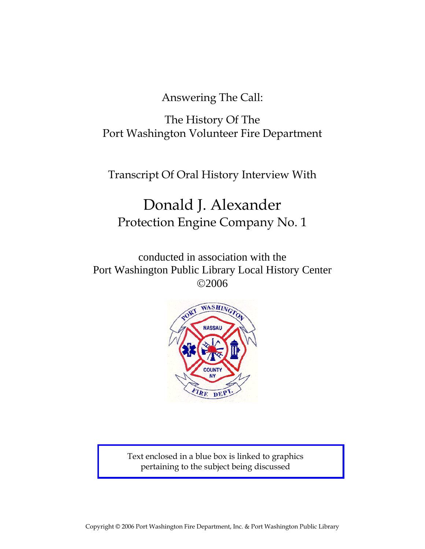Answering The Call:

The History Of The Port Washington Volunteer Fire Department

Transcript Of Oral History Interview With

# Donald J. Alexander Protection Engine Company No. 1

conducted in association with the Port Washington Public Library Local History Center ©2006



Text enclosed in a blue box is linked to graphics pertaining to the subject being discussed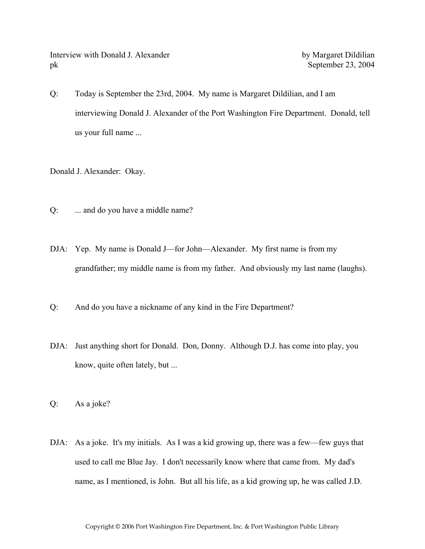Interview with Donald J. Alexander by Margaret Dildilian pk September 23, 2004

Q: Today is September the 23rd, 2004. My name is Margaret Dildilian, and I am interviewing Donald J. Alexander of the Port Washington Fire Department. Donald, tell us your full name ...

Donald J. Alexander: Okay.

- Q: ... and do you have a middle name?
- DJA: Yep. My name is Donald J—for John—Alexander. My first name is from my grandfather; my middle name is from my father. And obviously my last name (laughs).
- Q: And do you have a nickname of any kind in the Fire Department?
- DJA: Just anything short for Donald. Don, Donny. Although D.J. has come into play, you know, quite often lately, but ...

Q: As a joke?

DJA: As a joke. It's my initials. As I was a kid growing up, there was a few—few guys that used to call me Blue Jay. I don't necessarily know where that came from. My dad's name, as I mentioned, is John. But all his life, as a kid growing up, he was called J.D.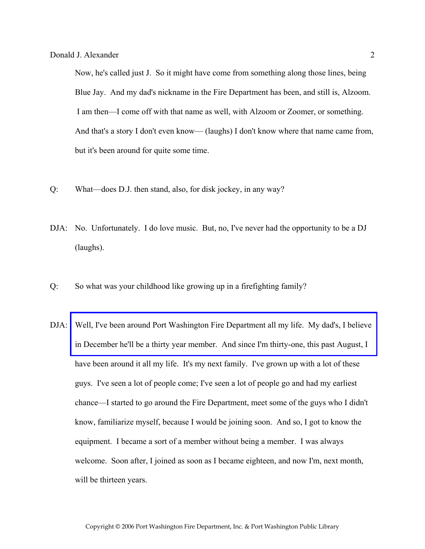Now, he's called just J. So it might have come from something along those lines, being Blue Jay. And my dad's nickname in the Fire Department has been, and still is, Alzoom. I am then—I come off with that name as well, with Alzoom or Zoomer, or something. And that's a story I don't even know— (laughs) I don't know where that name came from, but it's been around for quite some time.

- Q: What—does D.J. then stand, also, for disk jockey, in any way?
- DJA: No. Unfortunately. I do love music. But, no, I've never had the opportunity to be a DJ (laughs).
- Q: So what was your childhood like growing up in a firefighting family?
- DJA: [Well, I've been around Port Washington Fire Department all my life. My dad's, I believe](http://www.pwfdhistory.com/trans/alexanderd_trans/peco_family001.jpg)  in December he'll be a thirty year member. And since I'm thirty-one, this past August, I have been around it all my life. It's my next family. I've grown up with a lot of these guys. I've seen a lot of people come; I've seen a lot of people go and had my earliest chance—I started to go around the Fire Department, meet some of the guys who I didn't know, familiarize myself, because I would be joining soon. And so, I got to know the equipment. I became a sort of a member without being a member. I was always welcome. Soon after, I joined as soon as I became eighteen, and now I'm, next month, will be thirteen years.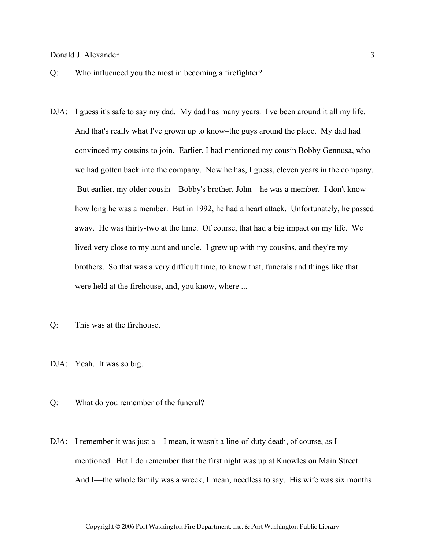- Q: Who influenced you the most in becoming a firefighter?
- DJA: I guess it's safe to say my dad. My dad has many years. I've been around it all my life. And that's really what I've grown up to know–the guys around the place. My dad had convinced my cousins to join. Earlier, I had mentioned my cousin Bobby Gennusa, who we had gotten back into the company. Now he has, I guess, eleven years in the company. But earlier, my older cousin—Bobby's brother, John—he was a member. I don't know how long he was a member. But in 1992, he had a heart attack. Unfortunately, he passed away. He was thirty-two at the time. Of course, that had a big impact on my life. We lived very close to my aunt and uncle. I grew up with my cousins, and they're my brothers. So that was a very difficult time, to know that, funerals and things like that were held at the firehouse, and, you know, where ...
- Q: This was at the firehouse.
- DJA: Yeah. It was so big.
- Q: What do you remember of the funeral?
- DJA: I remember it was just a—I mean, it wasn't a line-of-duty death, of course, as I mentioned. But I do remember that the first night was up at Knowles on Main Street. And I—the whole family was a wreck, I mean, needless to say. His wife was six months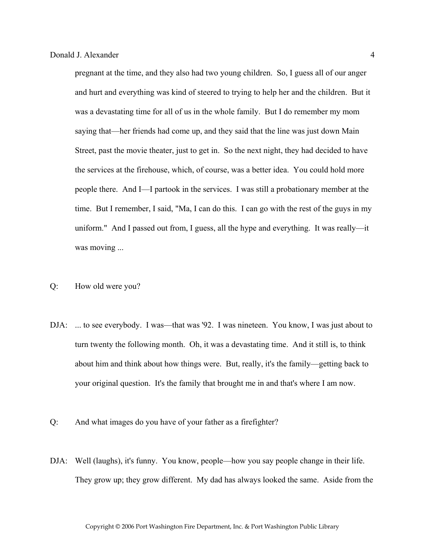pregnant at the time, and they also had two young children. So, I guess all of our anger and hurt and everything was kind of steered to trying to help her and the children. But it was a devastating time for all of us in the whole family. But I do remember my mom saying that—her friends had come up, and they said that the line was just down Main Street, past the movie theater, just to get in. So the next night, they had decided to have the services at the firehouse, which, of course, was a better idea. You could hold more people there. And I—I partook in the services. I was still a probationary member at the time. But I remember, I said, "Ma, I can do this. I can go with the rest of the guys in my uniform." And I passed out from, I guess, all the hype and everything. It was really—it was moving ...

- Q: How old were you?
- DJA: ... to see everybody. I was—that was '92. I was nineteen. You know, I was just about to turn twenty the following month. Oh, it was a devastating time. And it still is, to think about him and think about how things were. But, really, it's the family—getting back to your original question. It's the family that brought me in and that's where I am now.
- Q: And what images do you have of your father as a firefighter?
- DJA: Well (laughs), it's funny. You know, people—how you say people change in their life. They grow up; they grow different. My dad has always looked the same. Aside from the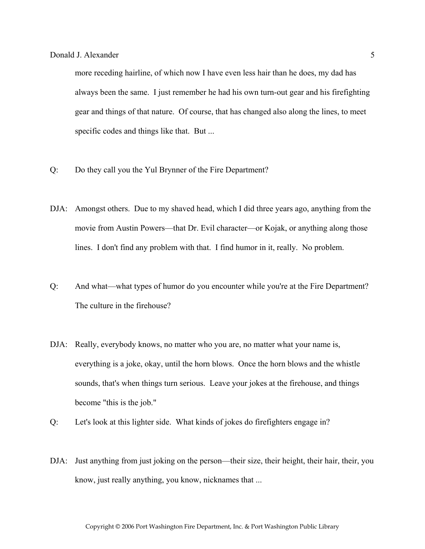more receding hairline, of which now I have even less hair than he does, my dad has always been the same. I just remember he had his own turn-out gear and his firefighting gear and things of that nature. Of course, that has changed also along the lines, to meet specific codes and things like that. But ...

- Q: Do they call you the Yul Brynner of the Fire Department?
- DJA: Amongst others. Due to my shaved head, which I did three years ago, anything from the movie from Austin Powers—that Dr. Evil character—or Kojak, or anything along those lines. I don't find any problem with that. I find humor in it, really. No problem.
- Q: And what—what types of humor do you encounter while you're at the Fire Department? The culture in the firehouse?
- DJA: Really, everybody knows, no matter who you are, no matter what your name is, everything is a joke, okay, until the horn blows. Once the horn blows and the whistle sounds, that's when things turn serious. Leave your jokes at the firehouse, and things become "this is the job."
- Q: Let's look at this lighter side. What kinds of jokes do firefighters engage in?
- DJA: Just anything from just joking on the person—their size, their height, their hair, their, you know, just really anything, you know, nicknames that ...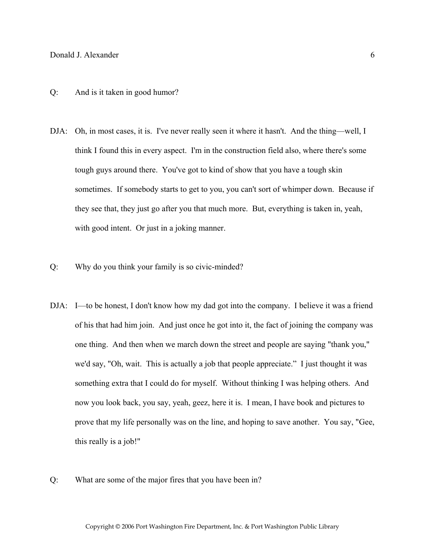# Q: And is it taken in good humor?

- DJA: Oh, in most cases, it is. I've never really seen it where it hasn't. And the thing—well, I think I found this in every aspect. I'm in the construction field also, where there's some tough guys around there. You've got to kind of show that you have a tough skin sometimes. If somebody starts to get to you, you can't sort of whimper down. Because if they see that, they just go after you that much more. But, everything is taken in, yeah, with good intent. Or just in a joking manner.
- Q: Why do you think your family is so civic-minded?
- DJA: I—to be honest, I don't know how my dad got into the company. I believe it was a friend of his that had him join. And just once he got into it, the fact of joining the company was one thing. And then when we march down the street and people are saying "thank you," we'd say, "Oh, wait. This is actually a job that people appreciate." I just thought it was something extra that I could do for myself. Without thinking I was helping others. And now you look back, you say, yeah, geez, here it is. I mean, I have book and pictures to prove that my life personally was on the line, and hoping to save another. You say, "Gee, this really is a job!"
- Q: What are some of the major fires that you have been in?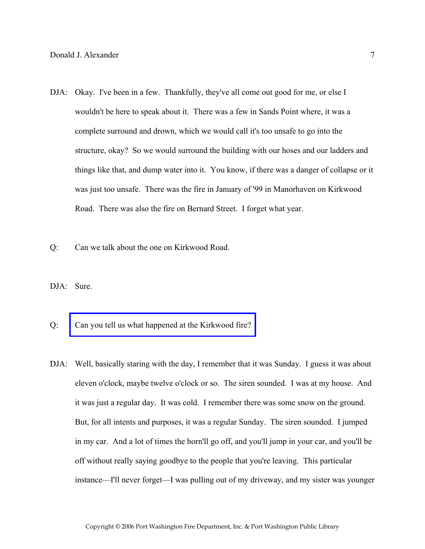- DJA: Okay. I've been in a few. Thankfully, they've all come out good for me, or else I wouldn't be here to speak about it. There was a few in Sands Point where, it was a complete surround and drown, which we would call it's too unsafe to go into the structure, okay? So we would surround the building with our hoses and our ladders and things like that, and dump water into it. You know, if there was a danger of collapse or it was just too unsafe. There was the fire in January of '99 in Manorhaven on Kirkwood Road. There was also the fire on Bernard Street. I forget what year.
- Q: Can we talk about the one on Kirkwood Road.
- DJA: Sure.
- Q: [Can you tell us what happened at the Kirkwood fire?](http://www.pwfdhistory.com/trans/alexanderd_trans/pwfd_news065.pdf)
- DJA: Well, basically staring with the day, I remember that it was Sunday. I guess it was about eleven o'clock, maybe twelve o'clock or so. The siren sounded. I was at my house. And it was just a regular day. It was cold. I remember there was some snow on the ground. But, for all intents and purposes, it was a regular Sunday. The siren sounded. I jumped in my car. And a lot of times the horn'll go off, and you'll jump in your car, and you'll be off without really saying goodbye to the people that you're leaving. This particular instance—I'll never forget—I was pulling out of my driveway, and my sister was younger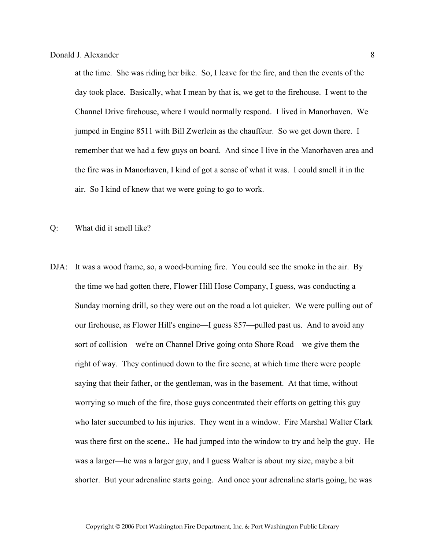at the time. She was riding her bike. So, I leave for the fire, and then the events of the day took place. Basically, what I mean by that is, we get to the firehouse. I went to the Channel Drive firehouse, where I would normally respond. I lived in Manorhaven. We jumped in Engine 8511 with Bill Zwerlein as the chauffeur. So we get down there. I remember that we had a few guys on board. And since I live in the Manorhaven area and the fire was in Manorhaven, I kind of got a sense of what it was. I could smell it in the air. So I kind of knew that we were going to go to work.

- Q: What did it smell like?
- DJA: It was a wood frame, so, a wood-burning fire. You could see the smoke in the air. By the time we had gotten there, Flower Hill Hose Company, I guess, was conducting a Sunday morning drill, so they were out on the road a lot quicker. We were pulling out of our firehouse, as Flower Hill's engine—I guess 857—pulled past us. And to avoid any sort of collision—we're on Channel Drive going onto Shore Road—we give them the right of way. They continued down to the fire scene, at which time there were people saying that their father, or the gentleman, was in the basement. At that time, without worrying so much of the fire, those guys concentrated their efforts on getting this guy who later succumbed to his injuries. They went in a window. Fire Marshal Walter Clark was there first on the scene.. He had jumped into the window to try and help the guy. He was a larger—he was a larger guy, and I guess Walter is about my size, maybe a bit shorter. But your adrenaline starts going. And once your adrenaline starts going, he was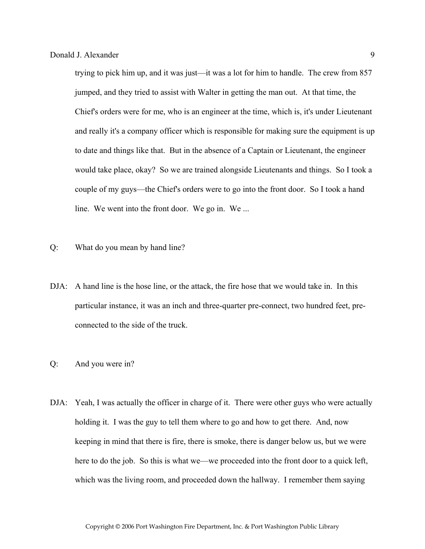trying to pick him up, and it was just—it was a lot for him to handle. The crew from 857 jumped, and they tried to assist with Walter in getting the man out. At that time, the Chief's orders were for me, who is an engineer at the time, which is, it's under Lieutenant and really it's a company officer which is responsible for making sure the equipment is up to date and things like that. But in the absence of a Captain or Lieutenant, the engineer would take place, okay? So we are trained alongside Lieutenants and things. So I took a couple of my guys—the Chief's orders were to go into the front door. So I took a hand line. We went into the front door. We go in. We ...

- Q: What do you mean by hand line?
- DJA: A hand line is the hose line, or the attack, the fire hose that we would take in. In this particular instance, it was an inch and three-quarter pre-connect, two hundred feet, preconnected to the side of the truck.
- Q: And you were in?
- DJA: Yeah, I was actually the officer in charge of it. There were other guys who were actually holding it. I was the guy to tell them where to go and how to get there. And, now keeping in mind that there is fire, there is smoke, there is danger below us, but we were here to do the job. So this is what we—we proceeded into the front door to a quick left, which was the living room, and proceeded down the hallway. I remember them saying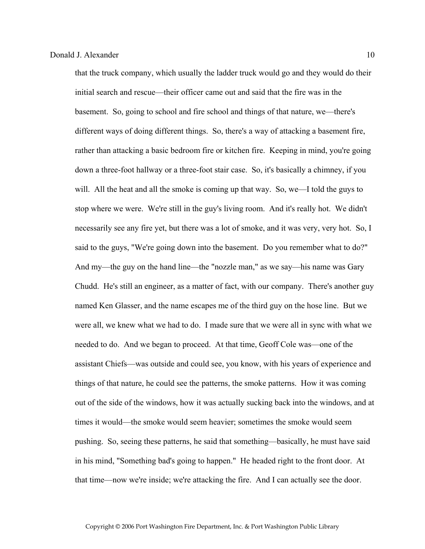that the truck company, which usually the ladder truck would go and they would do their initial search and rescue—their officer came out and said that the fire was in the basement. So, going to school and fire school and things of that nature, we—there's different ways of doing different things. So, there's a way of attacking a basement fire, rather than attacking a basic bedroom fire or kitchen fire. Keeping in mind, you're going down a three-foot hallway or a three-foot stair case. So, it's basically a chimney, if you will. All the heat and all the smoke is coming up that way. So, we—I told the guys to stop where we were. We're still in the guy's living room. And it's really hot. We didn't necessarily see any fire yet, but there was a lot of smoke, and it was very, very hot. So, I said to the guys, "We're going down into the basement. Do you remember what to do?" And my—the guy on the hand line—the "nozzle man," as we say—his name was Gary Chudd. He's still an engineer, as a matter of fact, with our company. There's another guy named Ken Glasser, and the name escapes me of the third guy on the hose line. But we were all, we knew what we had to do. I made sure that we were all in sync with what we needed to do. And we began to proceed. At that time, Geoff Cole was—one of the assistant Chiefs—was outside and could see, you know, with his years of experience and things of that nature, he could see the patterns, the smoke patterns. How it was coming out of the side of the windows, how it was actually sucking back into the windows, and at times it would—the smoke would seem heavier; sometimes the smoke would seem pushing. So, seeing these patterns, he said that something—basically, he must have said in his mind, "Something bad's going to happen." He headed right to the front door. At that time—now we're inside; we're attacking the fire. And I can actually see the door.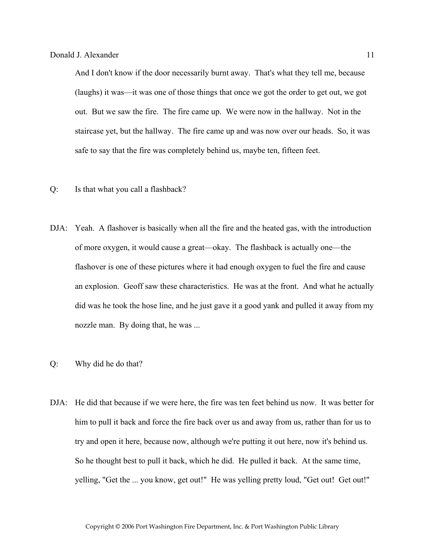And I don't know if the door necessarily burnt away. That's what they tell me, because (laughs) it was—it was one of those things that once we got the order to get out, we got out. But we saw the fire. The fire came up. We were now in the hallway. Not in the staircase yet, but the hallway. The fire came up and was now over our heads. So, it was safe to say that the fire was completely behind us, maybe ten, fifteen feet.

- Q: Is that what you call a flashback?
- DJA: Yeah. A flashover is basically when all the fire and the heated gas, with the introduction of more oxygen, it would cause a great—okay. The flashback is actually one—the flashover is one of these pictures where it had enough oxygen to fuel the fire and cause an explosion. Geoff saw these characteristics. He was at the front. And what he actually did was he took the hose line, and he just gave it a good yank and pulled it away from my nozzle man. By doing that, he was ...
- Q: Why did he do that?
- DJA: He did that because if we were here, the fire was ten feet behind us now. It was better for him to pull it back and force the fire back over us and away from us, rather than for us to try and open it here, because now, although we're putting it out here, now it's behind us. So he thought best to pull it back, which he did. He pulled it back. At the same time, yelling, "Get the ... you know, get out!" He was yelling pretty loud, "Get out! Get out!"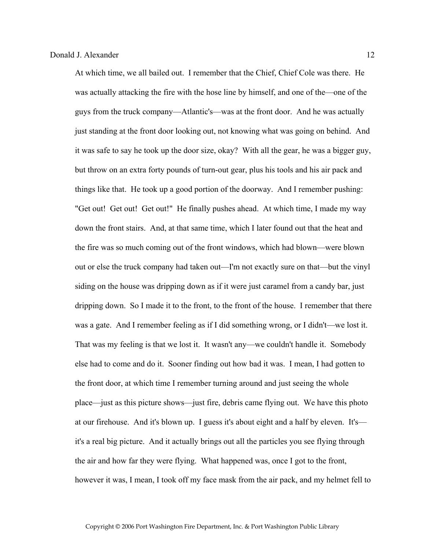At which time, we all bailed out. I remember that the Chief, Chief Cole was there. He was actually attacking the fire with the hose line by himself, and one of the—one of the guys from the truck company—Atlantic's—was at the front door. And he was actually just standing at the front door looking out, not knowing what was going on behind. And it was safe to say he took up the door size, okay? With all the gear, he was a bigger guy, but throw on an extra forty pounds of turn-out gear, plus his tools and his air pack and things like that. He took up a good portion of the doorway. And I remember pushing: "Get out! Get out! Get out!" He finally pushes ahead. At which time, I made my way down the front stairs. And, at that same time, which I later found out that the heat and the fire was so much coming out of the front windows, which had blown—were blown out or else the truck company had taken out—I'm not exactly sure on that—but the vinyl siding on the house was dripping down as if it were just caramel from a candy bar, just dripping down. So I made it to the front, to the front of the house. I remember that there was a gate. And I remember feeling as if I did something wrong, or I didn't—we lost it. That was my feeling is that we lost it. It wasn't any—we couldn't handle it. Somebody else had to come and do it. Sooner finding out how bad it was. I mean, I had gotten to the front door, at which time I remember turning around and just seeing the whole place—just as this picture shows—just fire, debris came flying out. We have this photo at our firehouse. And it's blown up. I guess it's about eight and a half by eleven. It's it's a real big picture. And it actually brings out all the particles you see flying through the air and how far they were flying. What happened was, once I got to the front, however it was, I mean, I took off my face mask from the air pack, and my helmet fell to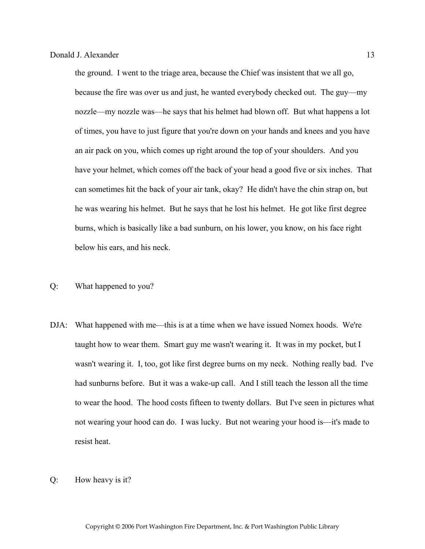the ground. I went to the triage area, because the Chief was insistent that we all go, because the fire was over us and just, he wanted everybody checked out. The guy—my nozzle—my nozzle was—he says that his helmet had blown off. But what happens a lot of times, you have to just figure that you're down on your hands and knees and you have an air pack on you, which comes up right around the top of your shoulders. And you have your helmet, which comes off the back of your head a good five or six inches. That can sometimes hit the back of your air tank, okay? He didn't have the chin strap on, but he was wearing his helmet. But he says that he lost his helmet. He got like first degree burns, which is basically like a bad sunburn, on his lower, you know, on his face right below his ears, and his neck.

# Q: What happened to you?

- DJA: What happened with me—this is at a time when we have issued Nomex hoods. We're taught how to wear them. Smart guy me wasn't wearing it. It was in my pocket, but I wasn't wearing it. I, too, got like first degree burns on my neck. Nothing really bad. I've had sunburns before. But it was a wake-up call. And I still teach the lesson all the time to wear the hood. The hood costs fifteen to twenty dollars. But I've seen in pictures what not wearing your hood can do. I was lucky. But not wearing your hood is—it's made to resist heat.
- Q: How heavy is it?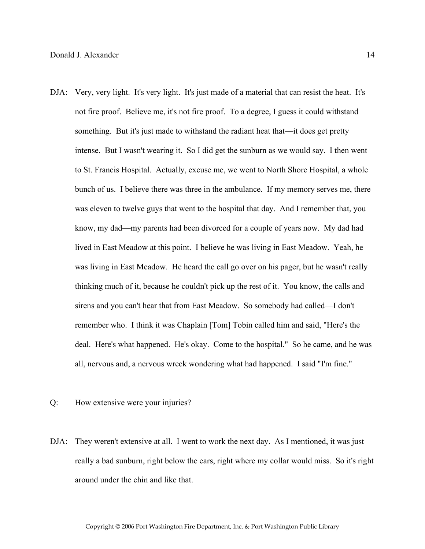- DJA: Very, very light. It's very light. It's just made of a material that can resist the heat. It's not fire proof. Believe me, it's not fire proof. To a degree, I guess it could withstand something. But it's just made to withstand the radiant heat that—it does get pretty intense. But I wasn't wearing it. So I did get the sunburn as we would say. I then went to St. Francis Hospital. Actually, excuse me, we went to North Shore Hospital, a whole bunch of us. I believe there was three in the ambulance. If my memory serves me, there was eleven to twelve guys that went to the hospital that day. And I remember that, you know, my dad—my parents had been divorced for a couple of years now. My dad had lived in East Meadow at this point. I believe he was living in East Meadow. Yeah, he was living in East Meadow. He heard the call go over on his pager, but he wasn't really thinking much of it, because he couldn't pick up the rest of it. You know, the calls and sirens and you can't hear that from East Meadow. So somebody had called—I don't remember who. I think it was Chaplain [Tom] Tobin called him and said, "Here's the deal. Here's what happened. He's okay. Come to the hospital." So he came, and he was all, nervous and, a nervous wreck wondering what had happened. I said "I'm fine."
- Q: How extensive were your injuries?
- DJA: They weren't extensive at all. I went to work the next day. As I mentioned, it was just really a bad sunburn, right below the ears, right where my collar would miss. So it's right around under the chin and like that.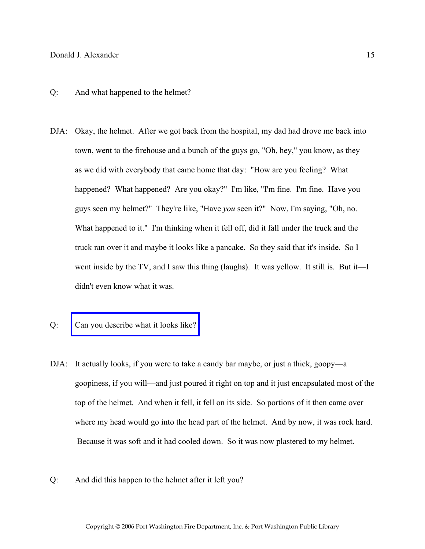- Q: And what happened to the helmet?
- DJA: Okay, the helmet. After we got back from the hospital, my dad had drove me back into town, went to the firehouse and a bunch of the guys go, "Oh, hey," you know, as they as we did with everybody that came home that day: "How are you feeling? What happened? What happened? Are you okay?" I'm like, "I'm fine. I'm fine. Have you guys seen my helmet?" They're like, "Have *you* seen it?" Now, I'm saying, "Oh, no. What happened to it." I'm thinking when it fell off, did it fall under the truck and the truck ran over it and maybe it looks like a pancake. So they said that it's inside. So I went inside by the TV, and I saw this thing (laughs). It was yellow. It still is. But it—I didn't even know what it was.
- Q: [Can you describe what it looks like?](http://www.pwfdhistory.com/trans/alexanderd_trans/peco_members045_web.jpg)
- DJA: It actually looks, if you were to take a candy bar maybe, or just a thick, goopy—a goopiness, if you will—and just poured it right on top and it just encapsulated most of the top of the helmet. And when it fell, it fell on its side. So portions of it then came over where my head would go into the head part of the helmet. And by now, it was rock hard. Because it was soft and it had cooled down. So it was now plastered to my helmet.
- Q: And did this happen to the helmet after it left you?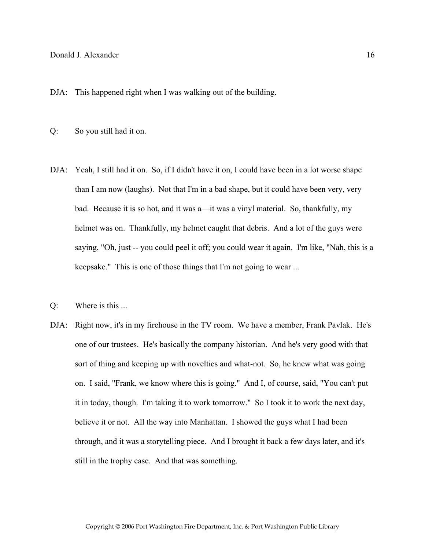DJA: This happened right when I was walking out of the building.

- Q: So you still had it on.
- DJA: Yeah, I still had it on. So, if I didn't have it on, I could have been in a lot worse shape than I am now (laughs). Not that I'm in a bad shape, but it could have been very, very bad. Because it is so hot, and it was a—it was a vinyl material. So, thankfully, my helmet was on. Thankfully, my helmet caught that debris. And a lot of the guys were saying, "Oh, just -- you could peel it off; you could wear it again. I'm like, "Nah, this is a keepsake." This is one of those things that I'm not going to wear ...
- Q: Where is this ...
- DJA: Right now, it's in my firehouse in the TV room. We have a member, Frank Pavlak. He's one of our trustees. He's basically the company historian. And he's very good with that sort of thing and keeping up with novelties and what-not. So, he knew what was going on. I said, "Frank, we know where this is going." And I, of course, said, "You can't put it in today, though. I'm taking it to work tomorrow." So I took it to work the next day, believe it or not. All the way into Manhattan. I showed the guys what I had been through, and it was a storytelling piece. And I brought it back a few days later, and it's still in the trophy case. And that was something.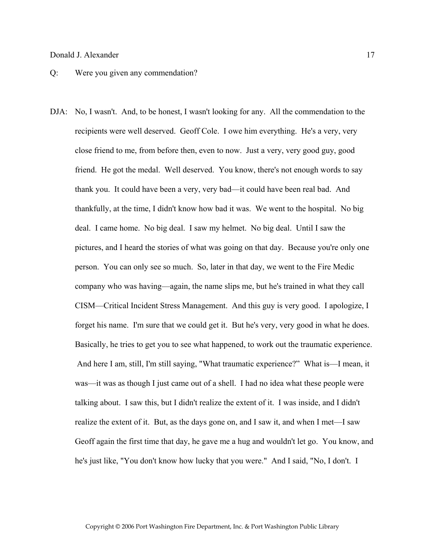#### Q: Were you given any commendation?

DJA: No, I wasn't. And, to be honest, I wasn't looking for any. All the commendation to the recipients were well deserved. Geoff Cole. I owe him everything. He's a very, very close friend to me, from before then, even to now. Just a very, very good guy, good friend. He got the medal. Well deserved. You know, there's not enough words to say thank you. It could have been a very, very bad—it could have been real bad. And thankfully, at the time, I didn't know how bad it was. We went to the hospital. No big deal. I came home. No big deal. I saw my helmet. No big deal. Until I saw the pictures, and I heard the stories of what was going on that day. Because you're only one person. You can only see so much. So, later in that day, we went to the Fire Medic company who was having—again, the name slips me, but he's trained in what they call CISM—Critical Incident Stress Management. And this guy is very good. I apologize, I forget his name. I'm sure that we could get it. But he's very, very good in what he does. Basically, he tries to get you to see what happened, to work out the traumatic experience. And here I am, still, I'm still saying, "What traumatic experience?" What is—I mean, it was—it was as though I just came out of a shell. I had no idea what these people were talking about. I saw this, but I didn't realize the extent of it. I was inside, and I didn't realize the extent of it. But, as the days gone on, and I saw it, and when I met—I saw Geoff again the first time that day, he gave me a hug and wouldn't let go. You know, and he's just like, "You don't know how lucky that you were." And I said, "No, I don't. I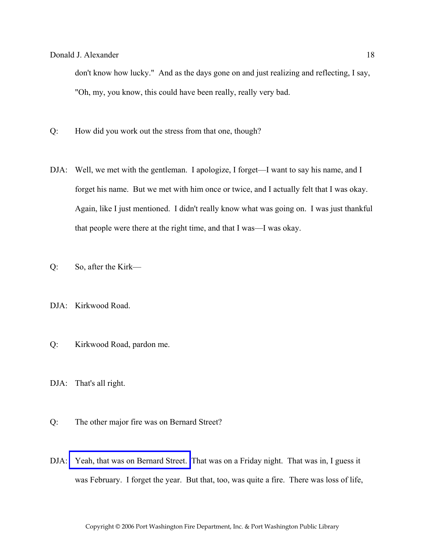don't know how lucky." And as the days gone on and just realizing and reflecting, I say, "Oh, my, you know, this could have been really, really very bad.

- Q: How did you work out the stress from that one, though?
- DJA: Well, we met with the gentleman. I apologize, I forget—I want to say his name, and I forget his name. But we met with him once or twice, and I actually felt that I was okay. Again, like I just mentioned. I didn't really know what was going on. I was just thankful that people were there at the right time, and that I was—I was okay.
- Q: So, after the Kirk—
- DJA: Kirkwood Road.
- Q: Kirkwood Road, pardon me.
- DJA: That's all right.
- Q: The other major fire was on Bernard Street?
- DJA: [Yeah, that was on Bernard Street.](http://www.pwfdhistory.com/trans/alexanderd_trans/news_bernardst02_960203.pdf) That was on a Friday night. That was in, I guess it was February. I forget the year. But that, too, was quite a fire. There was loss of life,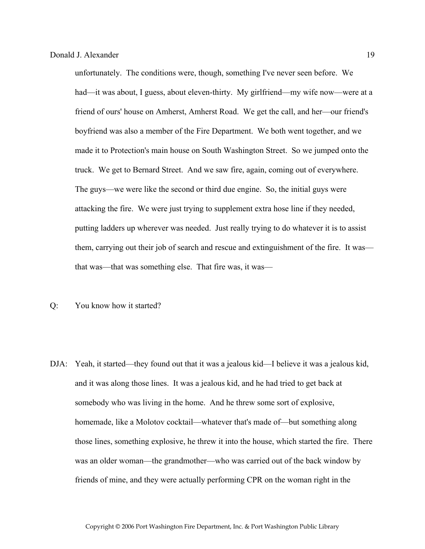unfortunately. The conditions were, though, something I've never seen before. We had—it was about, I guess, about eleven-thirty. My girlfriend—my wife now—were at a friend of ours' house on Amherst, Amherst Road. We get the call, and her—our friend's boyfriend was also a member of the Fire Department. We both went together, and we made it to Protection's main house on South Washington Street. So we jumped onto the truck. We get to Bernard Street. And we saw fire, again, coming out of everywhere. The guys—we were like the second or third due engine. So, the initial guys were attacking the fire. We were just trying to supplement extra hose line if they needed, putting ladders up wherever was needed. Just really trying to do whatever it is to assist them, carrying out their job of search and rescue and extinguishment of the fire. It was that was—that was something else. That fire was, it was—

- Q: You know how it started?
- DJA: Yeah, it started—they found out that it was a jealous kid—I believe it was a jealous kid, and it was along those lines. It was a jealous kid, and he had tried to get back at somebody who was living in the home. And he threw some sort of explosive, homemade, like a Molotov cocktail—whatever that's made of—but something along those lines, something explosive, he threw it into the house, which started the fire. There was an older woman—the grandmother—who was carried out of the back window by friends of mine, and they were actually performing CPR on the woman right in the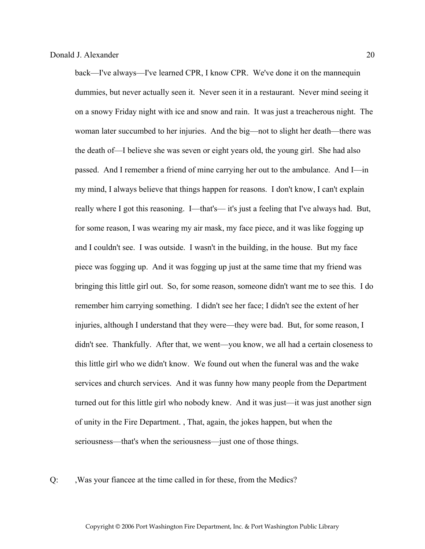back—I've always—I've learned CPR, I know CPR. We've done it on the mannequin dummies, but never actually seen it. Never seen it in a restaurant. Never mind seeing it on a snowy Friday night with ice and snow and rain. It was just a treacherous night. The woman later succumbed to her injuries. And the big—not to slight her death—there was the death of—I believe she was seven or eight years old, the young girl. She had also passed. And I remember a friend of mine carrying her out to the ambulance. And I—in my mind, I always believe that things happen for reasons. I don't know, I can't explain really where I got this reasoning. I—that's— it's just a feeling that I've always had. But, for some reason, I was wearing my air mask, my face piece, and it was like fogging up and I couldn't see. I was outside. I wasn't in the building, in the house. But my face piece was fogging up. And it was fogging up just at the same time that my friend was bringing this little girl out. So, for some reason, someone didn't want me to see this. I do remember him carrying something. I didn't see her face; I didn't see the extent of her injuries, although I understand that they were—they were bad. But, for some reason, I didn't see. Thankfully. After that, we went—you know, we all had a certain closeness to this little girl who we didn't know. We found out when the funeral was and the wake services and church services. And it was funny how many people from the Department turned out for this little girl who nobody knew. And it was just—it was just another sign of unity in the Fire Department. , That, again, the jokes happen, but when the seriousness—that's when the seriousness—just one of those things.

Q: ,Was your fiancee at the time called in for these, from the Medics?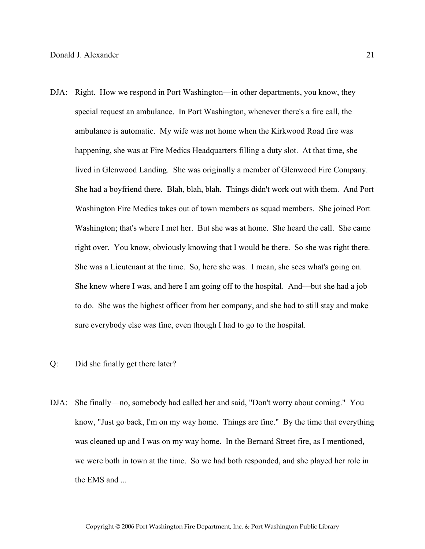- DJA: Right. How we respond in Port Washington—in other departments, you know, they special request an ambulance. In Port Washington, whenever there's a fire call, the ambulance is automatic. My wife was not home when the Kirkwood Road fire was happening, she was at Fire Medics Headquarters filling a duty slot. At that time, she lived in Glenwood Landing. She was originally a member of Glenwood Fire Company. She had a boyfriend there. Blah, blah, blah. Things didn't work out with them. And Port Washington Fire Medics takes out of town members as squad members. She joined Port Washington; that's where I met her. But she was at home. She heard the call. She came right over. You know, obviously knowing that I would be there. So she was right there. She was a Lieutenant at the time. So, here she was. I mean, she sees what's going on. She knew where I was, and here I am going off to the hospital. And—but she had a job to do. She was the highest officer from her company, and she had to still stay and make sure everybody else was fine, even though I had to go to the hospital.
- Q: Did she finally get there later?
- DJA: She finally—no, somebody had called her and said, "Don't worry about coming." You know, "Just go back, I'm on my way home. Things are fine." By the time that everything was cleaned up and I was on my way home. In the Bernard Street fire, as I mentioned, we were both in town at the time. So we had both responded, and she played her role in the EMS and ...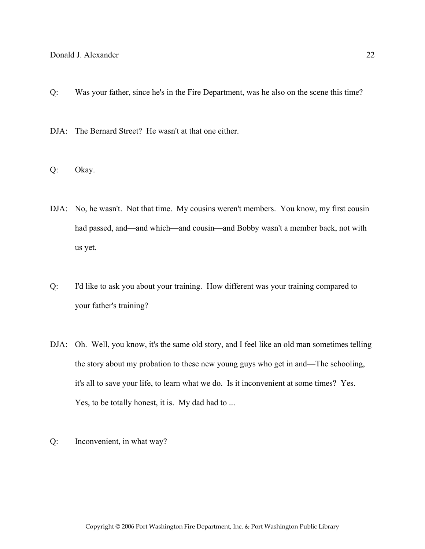- Q: Was your father, since he's in the Fire Department, was he also on the scene this time?
- DJA: The Bernard Street? He wasn't at that one either.
- Q: Okay.
- DJA: No, he wasn't. Not that time. My cousins weren't members. You know, my first cousin had passed, and—and which—and cousin—and Bobby wasn't a member back, not with us yet.
- Q: I'd like to ask you about your training. How different was your training compared to your father's training?
- DJA: Oh. Well, you know, it's the same old story, and I feel like an old man sometimes telling the story about my probation to these new young guys who get in and—The schooling, it's all to save your life, to learn what we do. Is it inconvenient at some times? Yes. Yes, to be totally honest, it is. My dad had to ...
- Q: Inconvenient, in what way?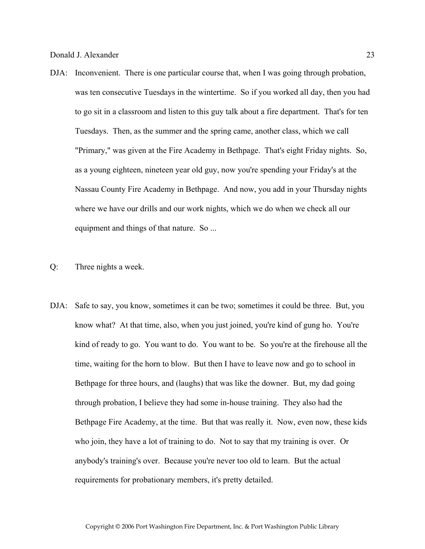- DJA: Inconvenient. There is one particular course that, when I was going through probation, was ten consecutive Tuesdays in the wintertime. So if you worked all day, then you had to go sit in a classroom and listen to this guy talk about a fire department. That's for ten Tuesdays. Then, as the summer and the spring came, another class, which we call "Primary," was given at the Fire Academy in Bethpage. That's eight Friday nights. So, as a young eighteen, nineteen year old guy, now you're spending your Friday's at the Nassau County Fire Academy in Bethpage. And now, you add in your Thursday nights where we have our drills and our work nights, which we do when we check all our equipment and things of that nature. So ...
- Q: Three nights a week.
- DJA: Safe to say, you know, sometimes it can be two; sometimes it could be three. But, you know what? At that time, also, when you just joined, you're kind of gung ho. You're kind of ready to go. You want to do. You want to be. So you're at the firehouse all the time, waiting for the horn to blow. But then I have to leave now and go to school in Bethpage for three hours, and (laughs) that was like the downer. But, my dad going through probation, I believe they had some in-house training. They also had the Bethpage Fire Academy, at the time. But that was really it. Now, even now, these kids who join, they have a lot of training to do. Not to say that my training is over. Or anybody's training's over. Because you're never too old to learn. But the actual requirements for probationary members, it's pretty detailed.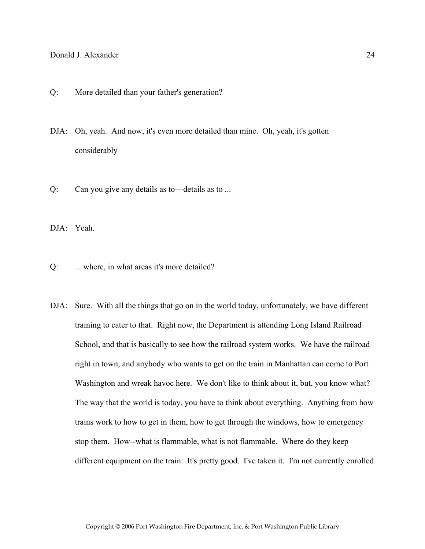- Q: More detailed than your father's generation?
- DJA: Oh, yeah. And now, it's even more detailed than mine. Oh, yeah, it's gotten considerably—
- Q: Can you give any details as to—details as to ...

DJA: Yeah.

- Q: ... where, in what areas it's more detailed?
- DJA: Sure. With all the things that go on in the world today, unfortunately, we have different training to cater to that. Right now, the Department is attending Long Island Railroad School, and that is basically to see how the railroad system works. We have the railroad right in town, and anybody who wants to get on the train in Manhattan can come to Port Washington and wreak havoc here. We don't like to think about it, but, you know what? The way that the world is today, you have to think about everything. Anything from how trains work to how to get in them, how to get through the windows, how to emergency stop them. How--what is flammable, what is not flammable. Where do they keep different equipment on the train. It's pretty good. I've taken it. I'm not currently enrolled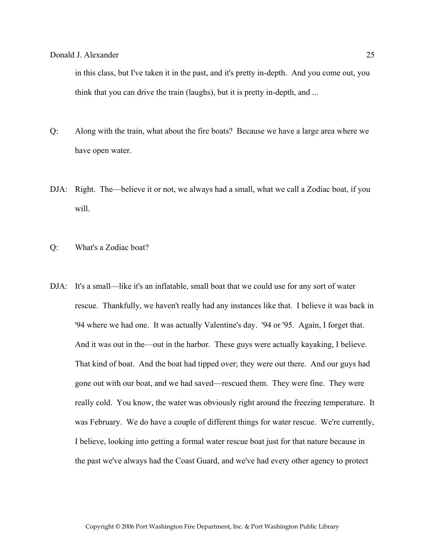in this class, but I've taken it in the past, and it's pretty in-depth. And you come out, you think that you can drive the train (laughs), but it is pretty in-depth, and ...

- Q: Along with the train, what about the fire boats? Because we have a large area where we have open water.
- DJA: Right. The—believe it or not, we always had a small, what we call a Zodiac boat, if you will.
- Q: What's a Zodiac boat?
- DJA: It's a small—like it's an inflatable, small boat that we could use for any sort of water rescue. Thankfully, we haven't really had any instances like that. I believe it was back in '94 where we had one. It was actually Valentine's day. '94 or '95. Again, I forget that. And it was out in the—out in the harbor. These guys were actually kayaking, I believe. That kind of boat. And the boat had tipped over; they were out there. And our guys had gone out with our boat, and we had saved—rescued them. They were fine. They were really cold. You know, the water was obviously right around the freezing temperature. It was February. We do have a couple of different things for water rescue. We're currently, I believe, looking into getting a formal water rescue boat just for that nature because in the past we've always had the Coast Guard, and we've had every other agency to protect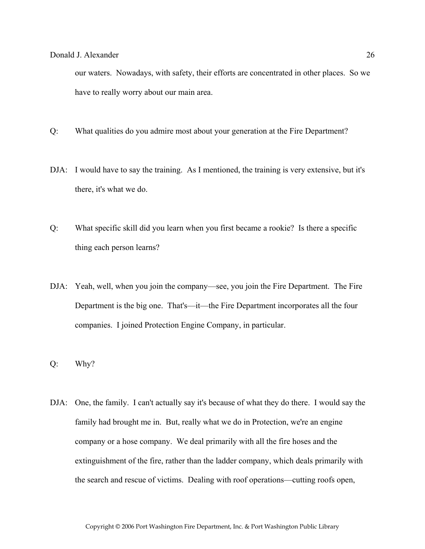our waters. Nowadays, with safety, their efforts are concentrated in other places. So we have to really worry about our main area.

- Q: What qualities do you admire most about your generation at the Fire Department?
- DJA: I would have to say the training. As I mentioned, the training is very extensive, but it's there, it's what we do.
- Q: What specific skill did you learn when you first became a rookie? Is there a specific thing each person learns?
- DJA: Yeah, well, when you join the company—see, you join the Fire Department. The Fire Department is the big one. That's—it—the Fire Department incorporates all the four companies. I joined Protection Engine Company, in particular.
- Q: Why?
- DJA: One, the family. I can't actually say it's because of what they do there. I would say the family had brought me in. But, really what we do in Protection, we're an engine company or a hose company. We deal primarily with all the fire hoses and the extinguishment of the fire, rather than the ladder company, which deals primarily with the search and rescue of victims. Dealing with roof operations—cutting roofs open,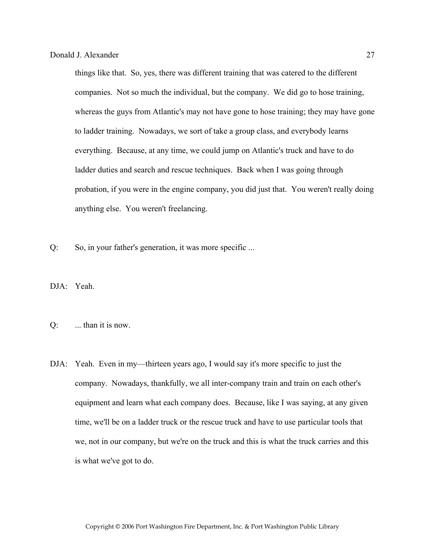things like that. So, yes, there was different training that was catered to the different companies. Not so much the individual, but the company. We did go to hose training, whereas the guys from Atlantic's may not have gone to hose training; they may have gone to ladder training. Nowadays, we sort of take a group class, and everybody learns everything. Because, at any time, we could jump on Atlantic's truck and have to do ladder duties and search and rescue techniques. Back when I was going through probation, if you were in the engine company, you did just that. You weren't really doing anything else. You weren't freelancing.

Q: So, in your father's generation, it was more specific ...

DJA: Yeah.

- $Q$ : ... than it is now.
- DJA: Yeah. Even in my—thirteen years ago, I would say it's more specific to just the company. Nowadays, thankfully, we all inter-company train and train on each other's equipment and learn what each company does. Because, like I was saying, at any given time, we'll be on a ladder truck or the rescue truck and have to use particular tools that we, not in our company, but we're on the truck and this is what the truck carries and this is what we've got to do.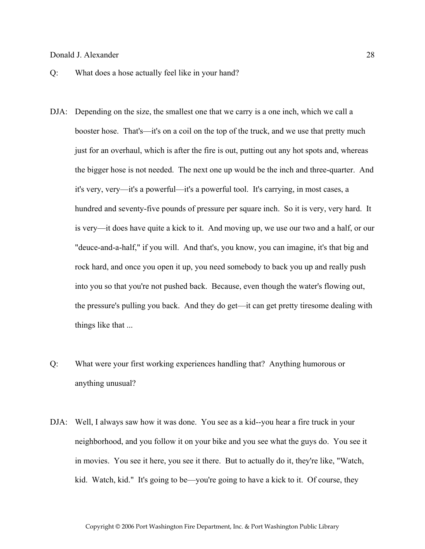- Q: What does a hose actually feel like in your hand?
- DJA: Depending on the size, the smallest one that we carry is a one inch, which we call a booster hose. That's—it's on a coil on the top of the truck, and we use that pretty much just for an overhaul, which is after the fire is out, putting out any hot spots and, whereas the bigger hose is not needed. The next one up would be the inch and three-quarter. And it's very, very—it's a powerful—it's a powerful tool. It's carrying, in most cases, a hundred and seventy-five pounds of pressure per square inch. So it is very, very hard. It is very—it does have quite a kick to it. And moving up, we use our two and a half, or our "deuce-and-a-half," if you will. And that's, you know, you can imagine, it's that big and rock hard, and once you open it up, you need somebody to back you up and really push into you so that you're not pushed back. Because, even though the water's flowing out, the pressure's pulling you back. And they do get—it can get pretty tiresome dealing with things like that ...
- Q: What were your first working experiences handling that? Anything humorous or anything unusual?
- DJA: Well, I always saw how it was done. You see as a kid--you hear a fire truck in your neighborhood, and you follow it on your bike and you see what the guys do. You see it in movies. You see it here, you see it there. But to actually do it, they're like, "Watch, kid. Watch, kid." It's going to be—you're going to have a kick to it. Of course, they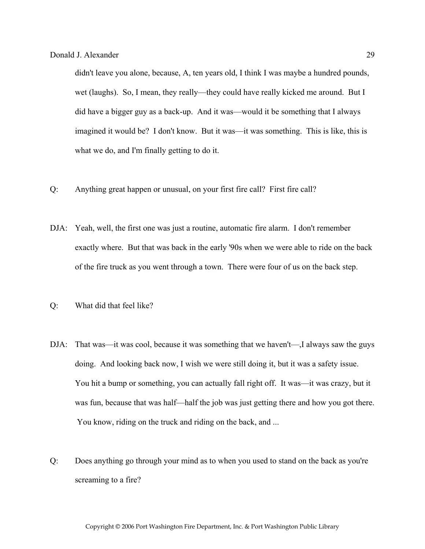didn't leave you alone, because, A, ten years old, I think I was maybe a hundred pounds, wet (laughs). So, I mean, they really—they could have really kicked me around. But I did have a bigger guy as a back-up. And it was—would it be something that I always imagined it would be? I don't know. But it was—it was something. This is like, this is what we do, and I'm finally getting to do it.

- Q: Anything great happen or unusual, on your first fire call? First fire call?
- DJA: Yeah, well, the first one was just a routine, automatic fire alarm. I don't remember exactly where. But that was back in the early '90s when we were able to ride on the back of the fire truck as you went through a town. There were four of us on the back step.
- Q: What did that feel like?
- DJA: That was—it was cool, because it was something that we haven't—,I always saw the guys doing. And looking back now, I wish we were still doing it, but it was a safety issue. You hit a bump or something, you can actually fall right off. It was—it was crazy, but it was fun, because that was half—half the job was just getting there and how you got there. You know, riding on the truck and riding on the back, and ...
- Q: Does anything go through your mind as to when you used to stand on the back as you're screaming to a fire?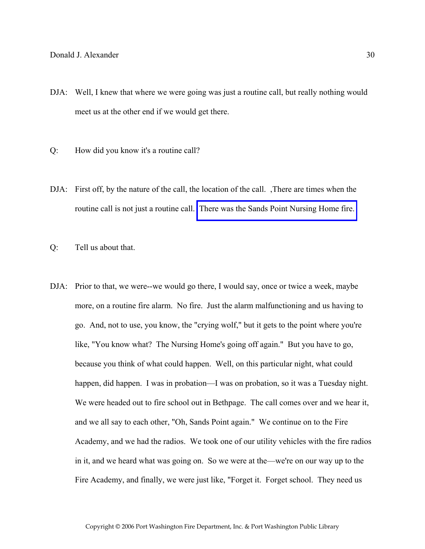- DJA: Well, I knew that where we were going was just a routine call, but really nothing would meet us at the other end if we would get there.
- Q: How did you know it's a routine call?
- DJA: First off, by the nature of the call, the location of the call. There are times when the routine call is not just a routine call. [There was the Sands Point Nursing Home fire.](AWAITING INFO FROM GPC)
- Q: Tell us about that.
- DJA: Prior to that, we were--we would go there, I would say, once or twice a week, maybe more, on a routine fire alarm. No fire. Just the alarm malfunctioning and us having to go. And, not to use, you know, the "crying wolf," but it gets to the point where you're like, "You know what? The Nursing Home's going off again." But you have to go, because you think of what could happen. Well, on this particular night, what could happen, did happen. I was in probation—I was on probation, so it was a Tuesday night. We were headed out to fire school out in Bethpage. The call comes over and we hear it, and we all say to each other, "Oh, Sands Point again." We continue on to the Fire Academy, and we had the radios. We took one of our utility vehicles with the fire radios in it, and we heard what was going on. So we were at the—we're on our way up to the Fire Academy, and finally, we were just like, "Forget it. Forget school. They need us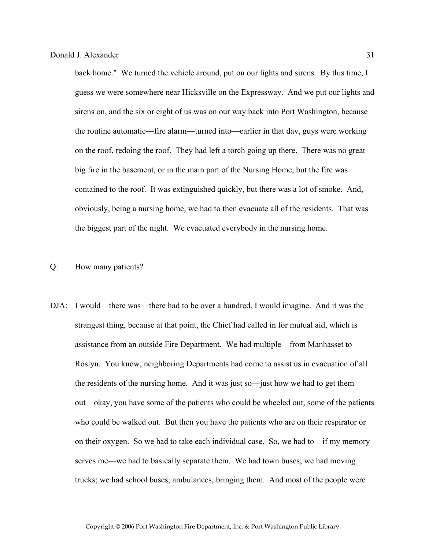back home." We turned the vehicle around, put on our lights and sirens. By this time, I guess we were somewhere near Hicksville on the Expressway. And we put our lights and sirens on, and the six or eight of us was on our way back into Port Washington, because the routine automatic—fire alarm—turned into—earlier in that day, guys were working on the roof, redoing the roof. They had left a torch going up there. There was no great big fire in the basement, or in the main part of the Nursing Home, but the fire was contained to the roof. It was extinguished quickly, but there was a lot of smoke. And, obviously, being a nursing home, we had to then evacuate all of the residents. That was the biggest part of the night. We evacuated everybody in the nursing home.

## Q: How many patients?

DJA: I would—there was—there had to be over a hundred, I would imagine. And it was the strangest thing, because at that point, the Chief had called in for mutual aid, which is assistance from an outside Fire Department. We had multiple—from Manhasset to Roslyn. You know, neighboring Departments had come to assist us in evacuation of all the residents of the nursing home. And it was just so—just how we had to get them out—okay, you have some of the patients who could be wheeled out, some of the patients who could be walked out. But then you have the patients who are on their respirator or on their oxygen. So we had to take each individual case. So, we had to—if my memory serves me—we had to basically separate them. We had town buses; we had moving trucks; we had school buses; ambulances, bringing them. And most of the people were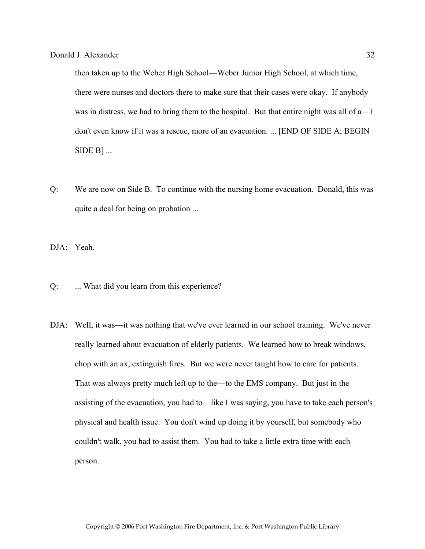then taken up to the Weber High School—Weber Junior High School, at which time, there were nurses and doctors there to make sure that their cases were okay. If anybody was in distress, we had to bring them to the hospital. But that entire night was all of a—I don't even know if it was a rescue, more of an evacuation. ... [END OF SIDE A; BEGIN  $SIDE B]$ ...

Q: We are now on Side B. To continue with the nursing home evacuation. Donald, this was quite a deal for being on probation ...

DJA: Yeah.

- Q: ... What did you learn from this experience?
- DJA: Well, it was—it was nothing that we've ever learned in our school training. We've never really learned about evacuation of elderly patients. We learned how to break windows, chop with an ax, extinguish fires. But we were never taught how to care for patients. That was always pretty much left up to the—to the EMS company. But just in the assisting of the evacuation, you had to—like I was saying, you have to take each person's physical and health issue. You don't wind up doing it by yourself, but somebody who couldn't walk, you had to assist them. You had to take a little extra time with each person.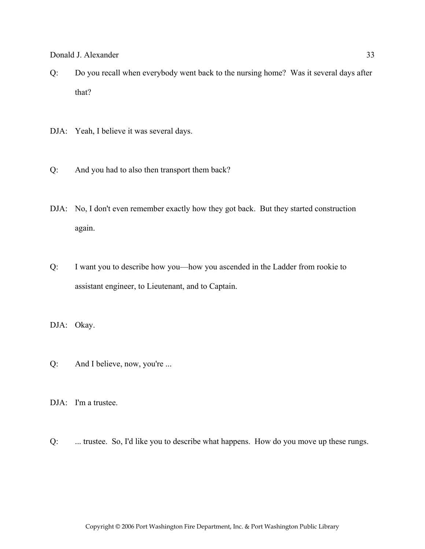- Q: Do you recall when everybody went back to the nursing home? Was it several days after that?
- DJA: Yeah, I believe it was several days.
- Q: And you had to also then transport them back?
- DJA: No, I don't even remember exactly how they got back. But they started construction again.
- Q: I want you to describe how you—how you ascended in the Ladder from rookie to assistant engineer, to Lieutenant, and to Captain.
- DJA: Okay.
- Q: And I believe, now, you're ...
- DJA: I'm a trustee.
- Q: ... trustee. So, I'd like you to describe what happens. How do you move up these rungs.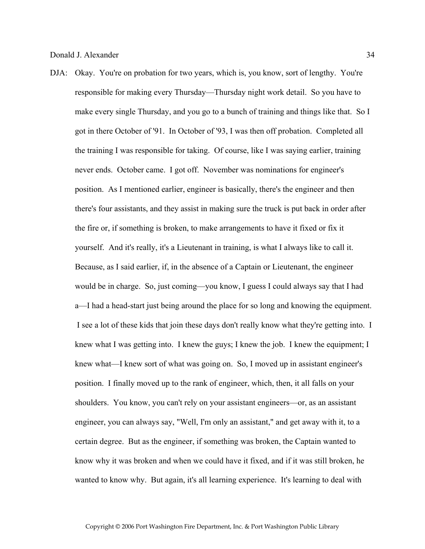DJA: Okay. You're on probation for two years, which is, you know, sort of lengthy. You're responsible for making every Thursday—Thursday night work detail. So you have to make every single Thursday, and you go to a bunch of training and things like that. So I got in there October of '91. In October of '93, I was then off probation. Completed all the training I was responsible for taking. Of course, like I was saying earlier, training never ends. October came. I got off. November was nominations for engineer's position. As I mentioned earlier, engineer is basically, there's the engineer and then there's four assistants, and they assist in making sure the truck is put back in order after the fire or, if something is broken, to make arrangements to have it fixed or fix it yourself. And it's really, it's a Lieutenant in training, is what I always like to call it. Because, as I said earlier, if, in the absence of a Captain or Lieutenant, the engineer would be in charge. So, just coming—you know, I guess I could always say that I had a—I had a head-start just being around the place for so long and knowing the equipment. I see a lot of these kids that join these days don't really know what they're getting into. I knew what I was getting into. I knew the guys; I knew the job. I knew the equipment; I knew what—I knew sort of what was going on. So, I moved up in assistant engineer's position. I finally moved up to the rank of engineer, which, then, it all falls on your shoulders. You know, you can't rely on your assistant engineers—or, as an assistant engineer, you can always say, "Well, I'm only an assistant," and get away with it, to a certain degree. But as the engineer, if something was broken, the Captain wanted to know why it was broken and when we could have it fixed, and if it was still broken, he wanted to know why. But again, it's all learning experience. It's learning to deal with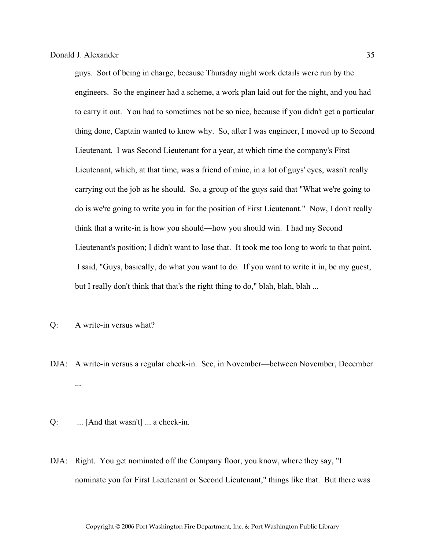guys. Sort of being in charge, because Thursday night work details were run by the engineers. So the engineer had a scheme, a work plan laid out for the night, and you had to carry it out. You had to sometimes not be so nice, because if you didn't get a particular thing done, Captain wanted to know why. So, after I was engineer, I moved up to Second Lieutenant. I was Second Lieutenant for a year, at which time the company's First Lieutenant, which, at that time, was a friend of mine, in a lot of guys' eyes, wasn't really carrying out the job as he should. So, a group of the guys said that "What we're going to do is we're going to write you in for the position of First Lieutenant." Now, I don't really think that a write-in is how you should—how you should win. I had my Second Lieutenant's position; I didn't want to lose that. It took me too long to work to that point. I said, "Guys, basically, do what you want to do. If you want to write it in, be my guest, but I really don't think that that's the right thing to do," blah, blah, blah ...

- Q: A write-in versus what?
- DJA: A write-in versus a regular check-in. See, in November—between November, December ...

 $Q:$  ... [And that wasn't] ... a check-in.

DJA: Right. You get nominated off the Company floor, you know, where they say, "I nominate you for First Lieutenant or Second Lieutenant," things like that. But there was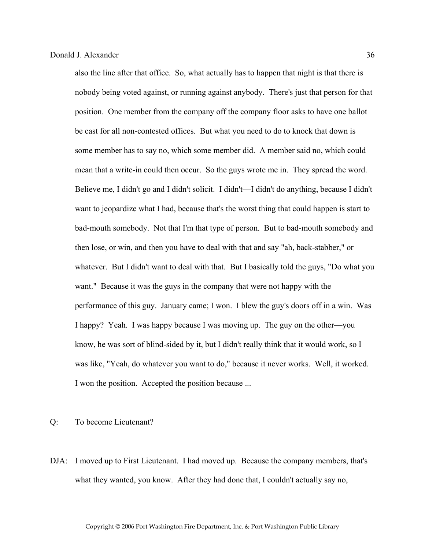also the line after that office. So, what actually has to happen that night is that there is nobody being voted against, or running against anybody. There's just that person for that position. One member from the company off the company floor asks to have one ballot be cast for all non-contested offices. But what you need to do to knock that down is some member has to say no, which some member did. A member said no, which could mean that a write-in could then occur. So the guys wrote me in. They spread the word. Believe me, I didn't go and I didn't solicit. I didn't—I didn't do anything, because I didn't want to jeopardize what I had, because that's the worst thing that could happen is start to bad-mouth somebody. Not that I'm that type of person. But to bad-mouth somebody and then lose, or win, and then you have to deal with that and say "ah, back-stabber," or whatever. But I didn't want to deal with that. But I basically told the guys, "Do what you want." Because it was the guys in the company that were not happy with the performance of this guy. January came; I won. I blew the guy's doors off in a win. Was I happy? Yeah. I was happy because I was moving up. The guy on the other—you know, he was sort of blind-sided by it, but I didn't really think that it would work, so I was like, "Yeah, do whatever you want to do," because it never works. Well, it worked. I won the position. Accepted the position because ...

Q: To become Lieutenant?

DJA: I moved up to First Lieutenant. I had moved up. Because the company members, that's what they wanted, you know. After they had done that, I couldn't actually say no,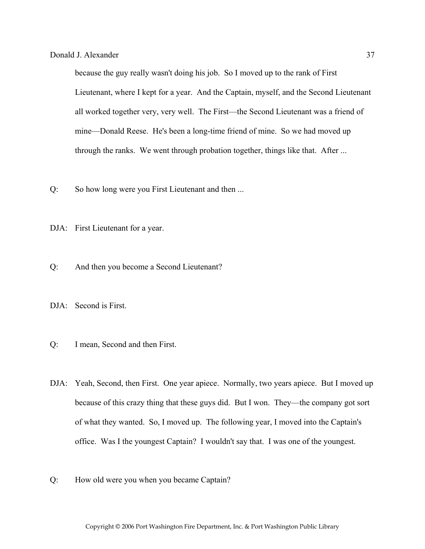because the guy really wasn't doing his job. So I moved up to the rank of First Lieutenant, where I kept for a year. And the Captain, myself, and the Second Lieutenant all worked together very, very well. The First—the Second Lieutenant was a friend of mine—Donald Reese. He's been a long-time friend of mine. So we had moved up through the ranks. We went through probation together, things like that. After ...

- Q: So how long were you First Lieutenant and then ...
- DJA: First Lieutenant for a year.
- Q: And then you become a Second Lieutenant?
- DJA: Second is First.
- Q: I mean, Second and then First.
- DJA: Yeah, Second, then First. One year apiece. Normally, two years apiece. But I moved up because of this crazy thing that these guys did. But I won. They—the company got sort of what they wanted. So, I moved up. The following year, I moved into the Captain's office. Was I the youngest Captain? I wouldn't say that. I was one of the youngest.
- Q: How old were you when you became Captain?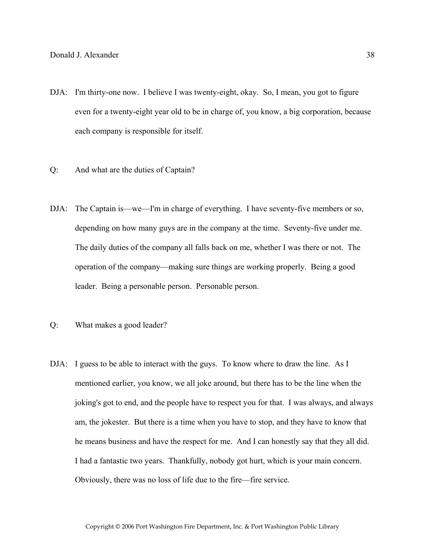- DJA: I'm thirty-one now. I believe I was twenty-eight, okay. So, I mean, you got to figure even for a twenty-eight year old to be in charge of, you know, a big corporation, because each company is responsible for itself.
- Q: And what are the duties of Captain?
- DJA: The Captain is—we—I'm in charge of everything. I have seventy-five members or so, depending on how many guys are in the company at the time. Seventy-five under me. The daily duties of the company all falls back on me, whether I was there or not. The operation of the company—making sure things are working properly. Being a good leader. Being a personable person. Personable person.
- Q: What makes a good leader?
- DJA: I guess to be able to interact with the guys. To know where to draw the line. As I mentioned earlier, you know, we all joke around, but there has to be the line when the joking's got to end, and the people have to respect you for that. I was always, and always am, the jokester. But there is a time when you have to stop, and they have to know that he means business and have the respect for me. And I can honestly say that they all did. I had a fantastic two years. Thankfully, nobody got hurt, which is your main concern. Obviously, there was no loss of life due to the fire—fire service.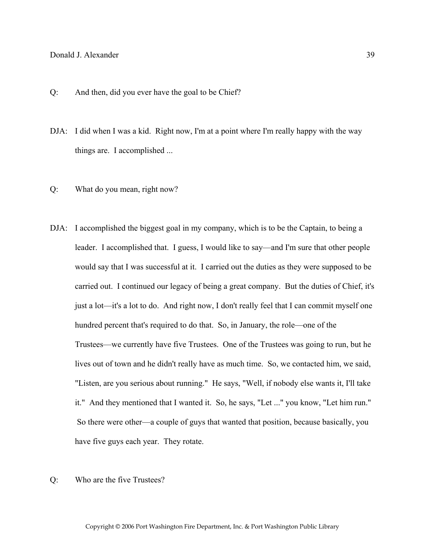- Q: And then, did you ever have the goal to be Chief?
- DJA: I did when I was a kid. Right now, I'm at a point where I'm really happy with the way things are. I accomplished ...
- Q: What do you mean, right now?
- DJA: I accomplished the biggest goal in my company, which is to be the Captain, to being a leader. I accomplished that. I guess, I would like to say—and I'm sure that other people would say that I was successful at it. I carried out the duties as they were supposed to be carried out. I continued our legacy of being a great company. But the duties of Chief, it's just a lot—it's a lot to do. And right now, I don't really feel that I can commit myself one hundred percent that's required to do that. So, in January, the role—one of the Trustees—we currently have five Trustees. One of the Trustees was going to run, but he lives out of town and he didn't really have as much time. So, we contacted him, we said, "Listen, are you serious about running." He says, "Well, if nobody else wants it, I'll take it." And they mentioned that I wanted it. So, he says, "Let ..." you know, "Let him run." So there were other—a couple of guys that wanted that position, because basically, you have five guys each year. They rotate.
- Q: Who are the five Trustees?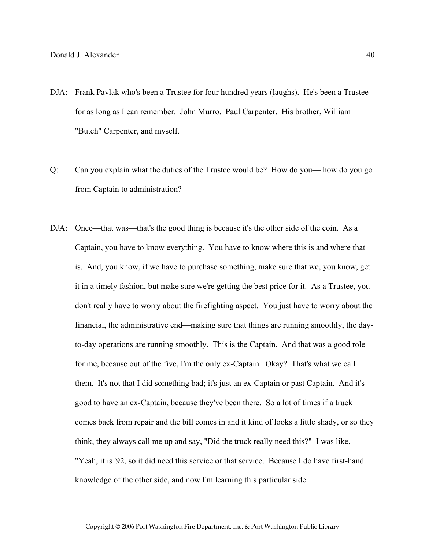- DJA: Frank Pavlak who's been a Trustee for four hundred years (laughs). He's been a Trustee for as long as I can remember. John Murro. Paul Carpenter. His brother, William "Butch" Carpenter, and myself.
- Q: Can you explain what the duties of the Trustee would be? How do you— how do you go from Captain to administration?
- DJA: Once—that was—that's the good thing is because it's the other side of the coin. As a Captain, you have to know everything. You have to know where this is and where that is. And, you know, if we have to purchase something, make sure that we, you know, get it in a timely fashion, but make sure we're getting the best price for it. As a Trustee, you don't really have to worry about the firefighting aspect. You just have to worry about the financial, the administrative end—making sure that things are running smoothly, the dayto-day operations are running smoothly. This is the Captain. And that was a good role for me, because out of the five, I'm the only ex-Captain. Okay? That's what we call them. It's not that I did something bad; it's just an ex-Captain or past Captain. And it's good to have an ex-Captain, because they've been there. So a lot of times if a truck comes back from repair and the bill comes in and it kind of looks a little shady, or so they think, they always call me up and say, "Did the truck really need this?" I was like, "Yeah, it is '92, so it did need this service or that service. Because I do have first-hand knowledge of the other side, and now I'm learning this particular side.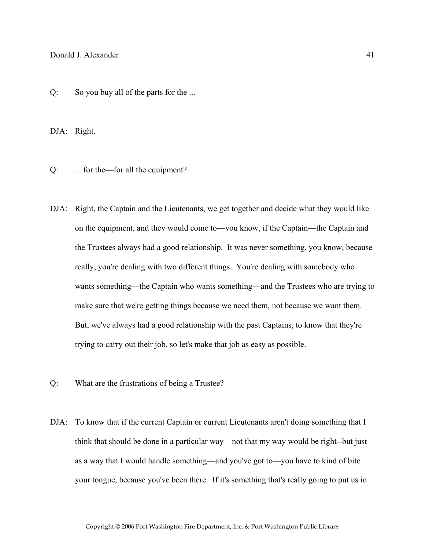Q: So you buy all of the parts for the ...

DJA: Right.

Q: ... for the—for all the equipment?

- DJA: Right, the Captain and the Lieutenants, we get together and decide what they would like on the equipment, and they would come to—you know, if the Captain—the Captain and the Trustees always had a good relationship. It was never something, you know, because really, you're dealing with two different things. You're dealing with somebody who wants something—the Captain who wants something—and the Trustees who are trying to make sure that we're getting things because we need them, not because we want them. But, we've always had a good relationship with the past Captains, to know that they're trying to carry out their job, so let's make that job as easy as possible.
- Q: What are the frustrations of being a Trustee?
- DJA: To know that if the current Captain or current Lieutenants aren't doing something that I think that should be done in a particular way—not that my way would be right--but just as a way that I would handle something—and you've got to—you have to kind of bite your tongue, because you've been there. If it's something that's really going to put us in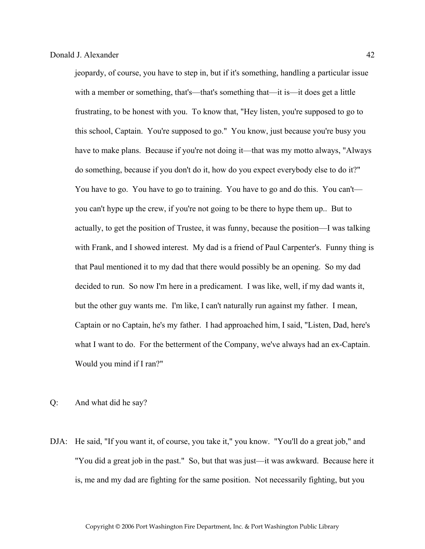jeopardy, of course, you have to step in, but if it's something, handling a particular issue with a member or something, that's—that's something that—it is—it does get a little frustrating, to be honest with you. To know that, "Hey listen, you're supposed to go to this school, Captain. You're supposed to go." You know, just because you're busy you have to make plans. Because if you're not doing it—that was my motto always, "Always" do something, because if you don't do it, how do you expect everybody else to do it?" You have to go. You have to go to training. You have to go and do this. You can't you can't hype up the crew, if you're not going to be there to hype them up.. But to actually, to get the position of Trustee, it was funny, because the position—I was talking with Frank, and I showed interest. My dad is a friend of Paul Carpenter's. Funny thing is that Paul mentioned it to my dad that there would possibly be an opening. So my dad decided to run. So now I'm here in a predicament. I was like, well, if my dad wants it, but the other guy wants me. I'm like, I can't naturally run against my father. I mean, Captain or no Captain, he's my father. I had approached him, I said, "Listen, Dad, here's what I want to do. For the betterment of the Company, we've always had an ex-Captain. Would you mind if I ran?"

- Q: And what did he say?
- DJA: He said, "If you want it, of course, you take it," you know. "You'll do a great job," and "You did a great job in the past." So, but that was just—it was awkward. Because here it is, me and my dad are fighting for the same position. Not necessarily fighting, but you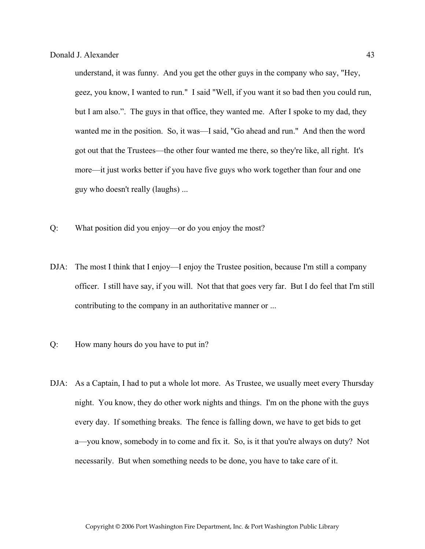understand, it was funny. And you get the other guys in the company who say, "Hey, geez, you know, I wanted to run." I said "Well, if you want it so bad then you could run, but I am also.". The guys in that office, they wanted me. After I spoke to my dad, they wanted me in the position. So, it was—I said, "Go ahead and run." And then the word got out that the Trustees—the other four wanted me there, so they're like, all right. It's more—it just works better if you have five guys who work together than four and one guy who doesn't really (laughs) ...

- Q: What position did you enjoy—or do you enjoy the most?
- DJA: The most I think that I enjoy—I enjoy the Trustee position, because I'm still a company officer. I still have say, if you will. Not that that goes very far. But I do feel that I'm still contributing to the company in an authoritative manner or ...
- Q: How many hours do you have to put in?
- DJA: As a Captain, I had to put a whole lot more. As Trustee, we usually meet every Thursday night. You know, they do other work nights and things. I'm on the phone with the guys every day. If something breaks. The fence is falling down, we have to get bids to get a—you know, somebody in to come and fix it. So, is it that you're always on duty? Not necessarily. But when something needs to be done, you have to take care of it.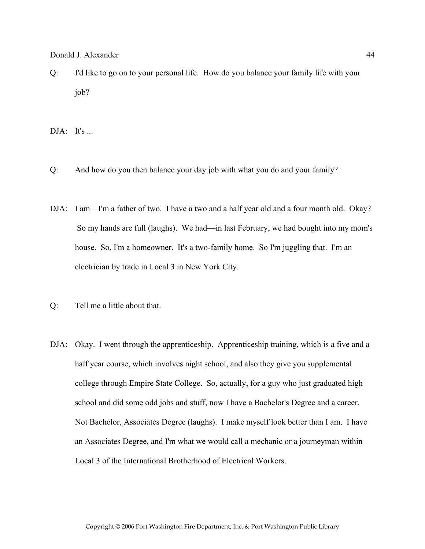Q: I'd like to go on to your personal life. How do you balance your family life with your job?

 $DJA:$  It's ...

- Q: And how do you then balance your day job with what you do and your family?
- DJA: I am—I'm a father of two. I have a two and a half year old and a four month old. Okay? So my hands are full (laughs). We had—in last February, we had bought into my mom's house. So, I'm a homeowner. It's a two-family home. So I'm juggling that. I'm an electrician by trade in Local 3 in New York City.
- Q: Tell me a little about that.
- DJA: Okay. I went through the apprenticeship. Apprenticeship training, which is a five and a half year course, which involves night school, and also they give you supplemental college through Empire State College. So, actually, for a guy who just graduated high school and did some odd jobs and stuff, now I have a Bachelor's Degree and a career. Not Bachelor, Associates Degree (laughs). I make myself look better than I am. I have an Associates Degree, and I'm what we would call a mechanic or a journeyman within Local 3 of the International Brotherhood of Electrical Workers.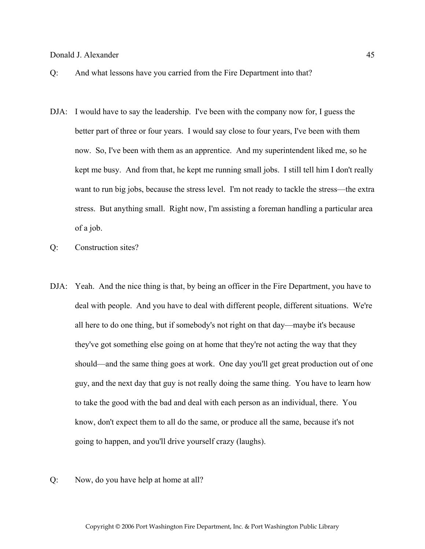- Q: And what lessons have you carried from the Fire Department into that?
- DJA: I would have to say the leadership. I've been with the company now for, I guess the better part of three or four years. I would say close to four years, I've been with them now. So, I've been with them as an apprentice. And my superintendent liked me, so he kept me busy. And from that, he kept me running small jobs. I still tell him I don't really want to run big jobs, because the stress level. I'm not ready to tackle the stress—the extra stress. But anything small. Right now, I'm assisting a foreman handling a particular area of a job.
- Q: Construction sites?
- DJA: Yeah. And the nice thing is that, by being an officer in the Fire Department, you have to deal with people. And you have to deal with different people, different situations. We're all here to do one thing, but if somebody's not right on that day—maybe it's because they've got something else going on at home that they're not acting the way that they should—and the same thing goes at work. One day you'll get great production out of one guy, and the next day that guy is not really doing the same thing. You have to learn how to take the good with the bad and deal with each person as an individual, there. You know, don't expect them to all do the same, or produce all the same, because it's not going to happen, and you'll drive yourself crazy (laughs).
- Q: Now, do you have help at home at all?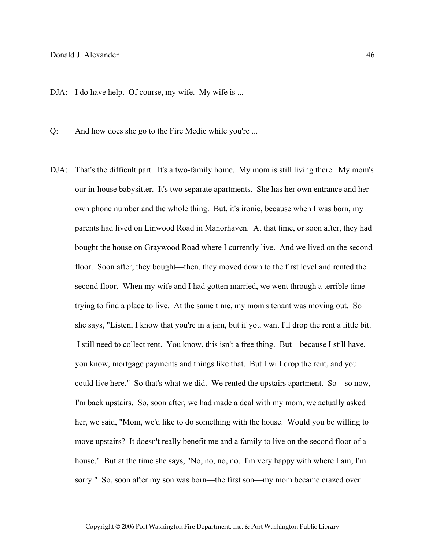DJA: I do have help. Of course, my wife. My wife is ...

Q: And how does she go to the Fire Medic while you're ...

DJA: That's the difficult part. It's a two-family home. My mom is still living there. My mom's our in-house babysitter. It's two separate apartments. She has her own entrance and her own phone number and the whole thing. But, it's ironic, because when I was born, my parents had lived on Linwood Road in Manorhaven. At that time, or soon after, they had bought the house on Graywood Road where I currently live. And we lived on the second floor. Soon after, they bought—then, they moved down to the first level and rented the second floor. When my wife and I had gotten married, we went through a terrible time trying to find a place to live. At the same time, my mom's tenant was moving out. So she says, "Listen, I know that you're in a jam, but if you want I'll drop the rent a little bit. I still need to collect rent. You know, this isn't a free thing. But—because I still have, you know, mortgage payments and things like that. But I will drop the rent, and you could live here." So that's what we did. We rented the upstairs apartment. So—so now, I'm back upstairs. So, soon after, we had made a deal with my mom, we actually asked her, we said, "Mom, we'd like to do something with the house. Would you be willing to move upstairs? It doesn't really benefit me and a family to live on the second floor of a house." But at the time she says, "No, no, no, no. I'm very happy with where I am; I'm sorry." So, soon after my son was born—the first son—my mom became crazed over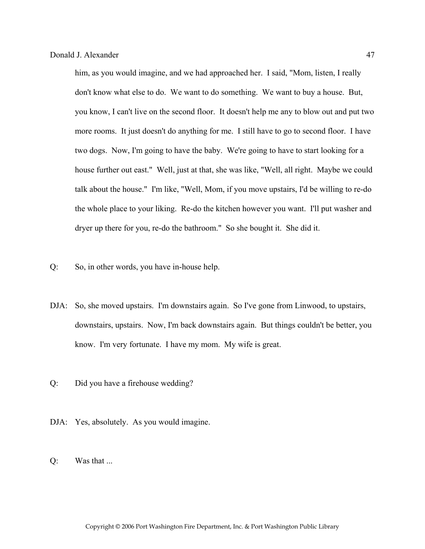him, as you would imagine, and we had approached her. I said, "Mom, listen, I really don't know what else to do. We want to do something. We want to buy a house. But, you know, I can't live on the second floor. It doesn't help me any to blow out and put two more rooms. It just doesn't do anything for me. I still have to go to second floor. I have two dogs. Now, I'm going to have the baby. We're going to have to start looking for a house further out east." Well, just at that, she was like, "Well, all right. Maybe we could talk about the house." I'm like, "Well, Mom, if you move upstairs, I'd be willing to re-do the whole place to your liking. Re-do the kitchen however you want. I'll put washer and dryer up there for you, re-do the bathroom." So she bought it. She did it.

- Q: So, in other words, you have in-house help.
- DJA: So, she moved upstairs. I'm downstairs again. So I've gone from Linwood, to upstairs, downstairs, upstairs. Now, I'm back downstairs again. But things couldn't be better, you know. I'm very fortunate. I have my mom. My wife is great.
- Q: Did you have a firehouse wedding?
- DJA: Yes, absolutely. As you would imagine.
- Q: Was that ...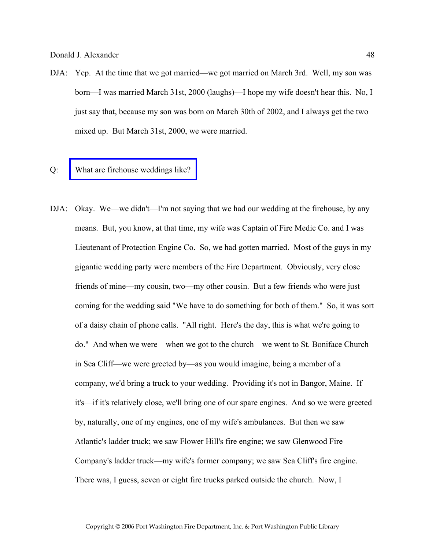- DJA: Yep. At the time that we got married—we got married on March 3rd. Well, my son was born—I was married March 31st, 2000 (laughs)—I hope my wife doesn't hear this. No, I just say that, because my son was born on March 30th of 2002, and I always get the two mixed up. But March 31st, 2000, we were married.
- Q: [What are firehouse weddings like?](http://www.pwfdhistory.com/trans/alexanderc_trans/alexanderc_wedding.jpg)
- DJA: Okay. We—we didn't—I'm not saying that we had our wedding at the firehouse, by any means. But, you know, at that time, my wife was Captain of Fire Medic Co. and I was Lieutenant of Protection Engine Co. So, we had gotten married. Most of the guys in my gigantic wedding party were members of the Fire Department. Obviously, very close friends of mine—my cousin, two—my other cousin. But a few friends who were just coming for the wedding said "We have to do something for both of them." So, it was sort of a daisy chain of phone calls. "All right. Here's the day, this is what we're going to do." And when we were—when we got to the church—we went to St. Boniface Church in Sea Cliff—we were greeted by—as you would imagine, being a member of a company, we'd bring a truck to your wedding. Providing it's not in Bangor, Maine. If it's—if it's relatively close, we'll bring one of our spare engines. And so we were greeted by, naturally, one of my engines, one of my wife's ambulances. But then we saw Atlantic's ladder truck; we saw Flower Hill's fire engine; we saw Glenwood Fire Company's ladder truck—my wife's former company; we saw Sea Cliff's fire engine. There was, I guess, seven or eight fire trucks parked outside the church. Now, I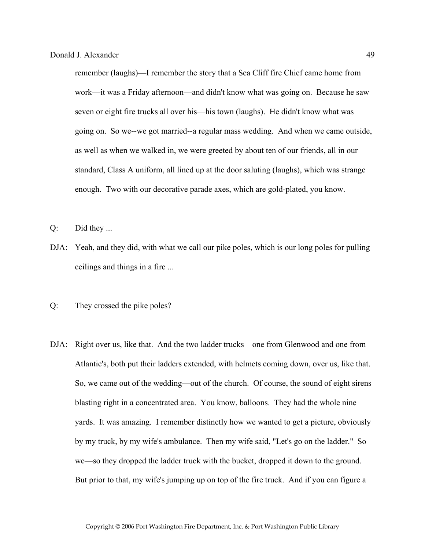remember (laughs)—I remember the story that a Sea Cliff fire Chief came home from work—it was a Friday afternoon—and didn't know what was going on. Because he saw seven or eight fire trucks all over his—his town (laughs). He didn't know what was going on. So we--we got married--a regular mass wedding. And when we came outside, as well as when we walked in, we were greeted by about ten of our friends, all in our standard, Class A uniform, all lined up at the door saluting (laughs), which was strange enough. Two with our decorative parade axes, which are gold-plated, you know.

- Q: Did they ...
- DJA: Yeah, and they did, with what we call our pike poles, which is our long poles for pulling ceilings and things in a fire ...
- Q: They crossed the pike poles?
- DJA: Right over us, like that. And the two ladder trucks—one from Glenwood and one from Atlantic's, both put their ladders extended, with helmets coming down, over us, like that. So, we came out of the wedding—out of the church. Of course, the sound of eight sirens blasting right in a concentrated area. You know, balloons. They had the whole nine yards. It was amazing. I remember distinctly how we wanted to get a picture, obviously by my truck, by my wife's ambulance. Then my wife said, "Let's go on the ladder." So we—so they dropped the ladder truck with the bucket, dropped it down to the ground. But prior to that, my wife's jumping up on top of the fire truck. And if you can figure a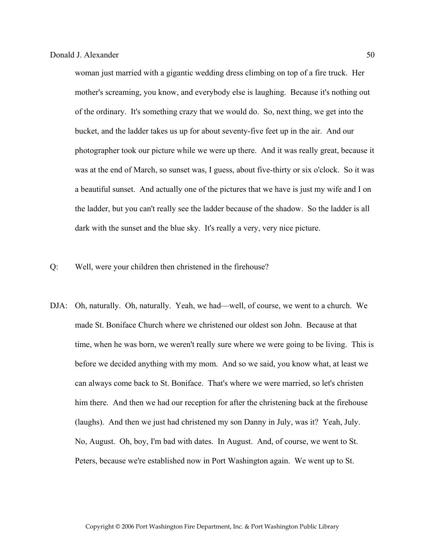woman just married with a gigantic wedding dress climbing on top of a fire truck. Her mother's screaming, you know, and everybody else is laughing. Because it's nothing out of the ordinary. It's something crazy that we would do. So, next thing, we get into the bucket, and the ladder takes us up for about seventy-five feet up in the air. And our photographer took our picture while we were up there. And it was really great, because it was at the end of March, so sunset was, I guess, about five-thirty or six o'clock. So it was a beautiful sunset. And actually one of the pictures that we have is just my wife and I on the ladder, but you can't really see the ladder because of the shadow. So the ladder is all dark with the sunset and the blue sky. It's really a very, very nice picture.

- Q: Well, were your children then christened in the firehouse?
- DJA: Oh, naturally. Oh, naturally. Yeah, we had—well, of course, we went to a church. We made St. Boniface Church where we christened our oldest son John. Because at that time, when he was born, we weren't really sure where we were going to be living. This is before we decided anything with my mom. And so we said, you know what, at least we can always come back to St. Boniface. That's where we were married, so let's christen him there. And then we had our reception for after the christening back at the firehouse (laughs). And then we just had christened my son Danny in July, was it? Yeah, July. No, August. Oh, boy, I'm bad with dates. In August. And, of course, we went to St. Peters, because we're established now in Port Washington again. We went up to St.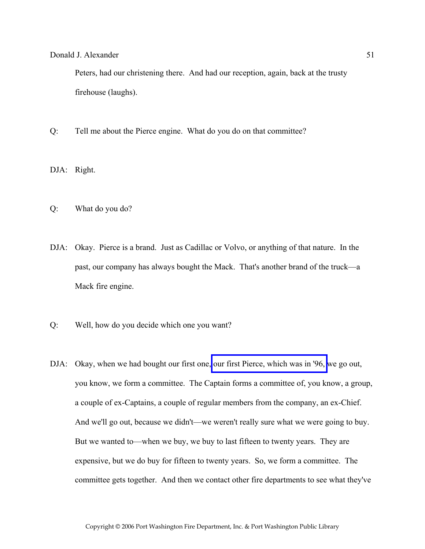Peters, had our christening there. And had our reception, again, back at the trusty firehouse (laughs).

- Q: Tell me about the Pierce engine. What do you do on that committee?
- DJA: Right.
- Q: What do you do?
- DJA: Okay. Pierce is a brand. Just as Cadillac or Volvo, or anything of that nature. In the past, our company has always bought the Mack. That's another brand of the truck—a Mack fire engine.
- Q: Well, how do you decide which one you want?
- DJA: Okay, when we had bought our first one, [our first Pierce, which was in '96,](http://www.pwfdhistory.com/trans/alexanderd_trans/peco_trucks005.jpg) we go out, you know, we form a committee. The Captain forms a committee of, you know, a group, a couple of ex-Captains, a couple of regular members from the company, an ex-Chief. And we'll go out, because we didn't—we weren't really sure what we were going to buy. But we wanted to—when we buy, we buy to last fifteen to twenty years. They are expensive, but we do buy for fifteen to twenty years. So, we form a committee. The committee gets together. And then we contact other fire departments to see what they've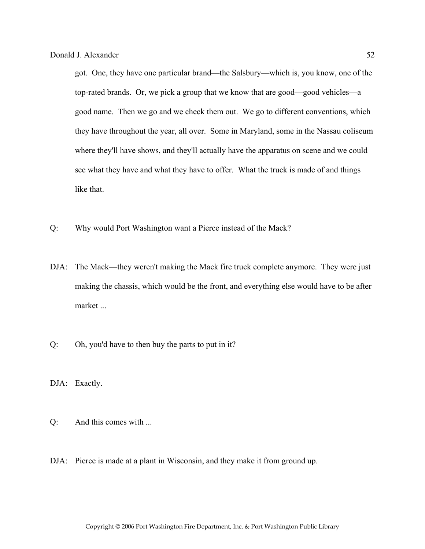got. One, they have one particular brand—the Salsbury—which is, you know, one of the top-rated brands. Or, we pick a group that we know that are good—good vehicles—a good name. Then we go and we check them out. We go to different conventions, which they have throughout the year, all over. Some in Maryland, some in the Nassau coliseum where they'll have shows, and they'll actually have the apparatus on scene and we could see what they have and what they have to offer. What the truck is made of and things like that.

- Q: Why would Port Washington want a Pierce instead of the Mack?
- DJA: The Mack—they weren't making the Mack fire truck complete anymore. They were just making the chassis, which would be the front, and everything else would have to be after market ...
- Q: Oh, you'd have to then buy the parts to put in it?

DJA: Exactly.

- Q: And this comes with ...
- DJA: Pierce is made at a plant in Wisconsin, and they make it from ground up.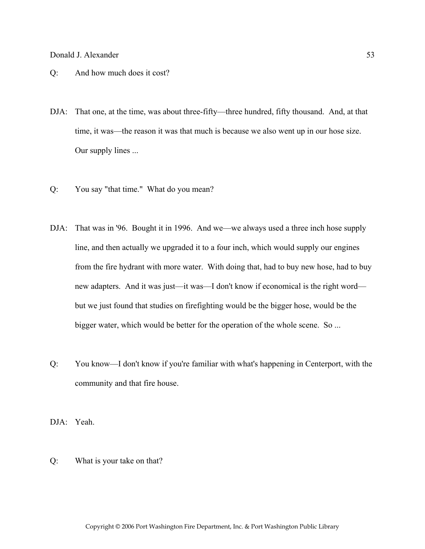- Q: And how much does it cost?
- DJA: That one, at the time, was about three-fifty—three hundred, fifty thousand. And, at that time, it was—the reason it was that much is because we also went up in our hose size. Our supply lines ...
- Q: You say "that time." What do you mean?
- DJA: That was in '96. Bought it in 1996. And we—we always used a three inch hose supply line, and then actually we upgraded it to a four inch, which would supply our engines from the fire hydrant with more water. With doing that, had to buy new hose, had to buy new adapters. And it was just—it was—I don't know if economical is the right word but we just found that studies on firefighting would be the bigger hose, would be the bigger water, which would be better for the operation of the whole scene. So ...
- Q: You know—I don't know if you're familiar with what's happening in Centerport, with the community and that fire house.
- DJA: Yeah.
- Q: What is your take on that?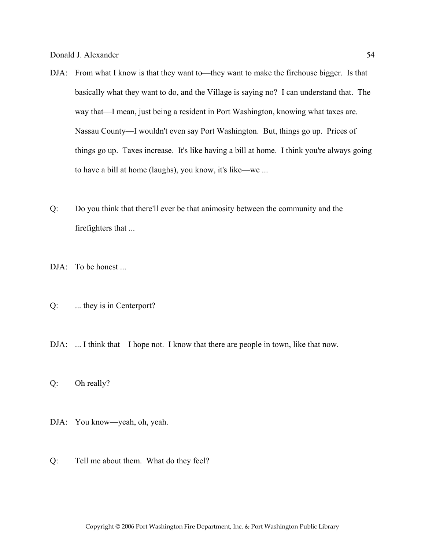- DJA: From what I know is that they want to—they want to make the firehouse bigger. Is that basically what they want to do, and the Village is saying no? I can understand that. The way that—I mean, just being a resident in Port Washington, knowing what taxes are. Nassau County—I wouldn't even say Port Washington. But, things go up. Prices of things go up. Taxes increase. It's like having a bill at home. I think you're always going to have a bill at home (laughs), you know, it's like—we ...
- Q: Do you think that there'll ever be that animosity between the community and the firefighters that ...
- DJA: To be honest ...
- Q: ... they is in Centerport?
- DJA: ... I think that—I hope not. I know that there are people in town, like that now.
- Q: Oh really?
- DJA: You know—yeah, oh, yeah.
- Q: Tell me about them. What do they feel?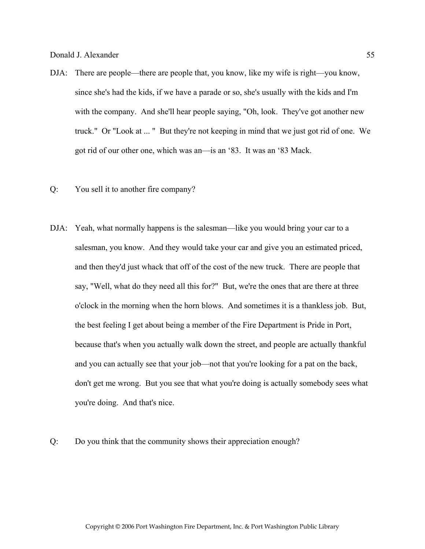- DJA: There are people—there are people that, you know, like my wife is right—you know, since she's had the kids, if we have a parade or so, she's usually with the kids and I'm with the company. And she'll hear people saying, "Oh, look. They've got another new truck." Or "Look at ... " But they're not keeping in mind that we just got rid of one. We got rid of our other one, which was an—is an '83. It was an '83 Mack.
- Q: You sell it to another fire company?
- DJA: Yeah, what normally happens is the salesman—like you would bring your car to a salesman, you know. And they would take your car and give you an estimated priced, and then they'd just whack that off of the cost of the new truck. There are people that say, "Well, what do they need all this for?" But, we're the ones that are there at three o'clock in the morning when the horn blows. And sometimes it is a thankless job. But, the best feeling I get about being a member of the Fire Department is Pride in Port, because that's when you actually walk down the street, and people are actually thankful and you can actually see that your job—not that you're looking for a pat on the back, don't get me wrong. But you see that what you're doing is actually somebody sees what you're doing. And that's nice.
- Q: Do you think that the community shows their appreciation enough?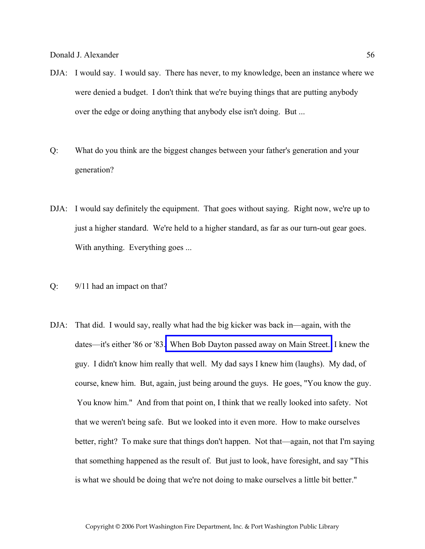- DJA: I would say. I would say. There has never, to my knowledge, been an instance where we were denied a budget. I don't think that we're buying things that are putting anybody over the edge or doing anything that anybody else isn't doing. But ...
- Q: What do you think are the biggest changes between your father's generation and your generation?
- DJA: I would say definitely the equipment. That goes without saying. Right now, we're up to just a higher standard. We're held to a higher standard, as far as our turn-out gear goes. With anything. Everything goes ...
- Q: 9/11 had an impact on that?
- DJA: That did. I would say, really what had the big kicker was back in—again, with the dates—it's either '86 or '83. [When Bob Dayton passed away on Main Street.](http://www.pwfdhistory.com/trans/alexanderd_trans/nyt881128.jpg) I knew the guy. I didn't know him really that well. My dad says I knew him (laughs). My dad, of course, knew him. But, again, just being around the guys. He goes, "You know the guy. You know him." And from that point on, I think that we really looked into safety. Not that we weren't being safe. But we looked into it even more. How to make ourselves better, right? To make sure that things don't happen. Not that—again, not that I'm saying that something happened as the result of. But just to look, have foresight, and say "This is what we should be doing that we're not doing to make ourselves a little bit better."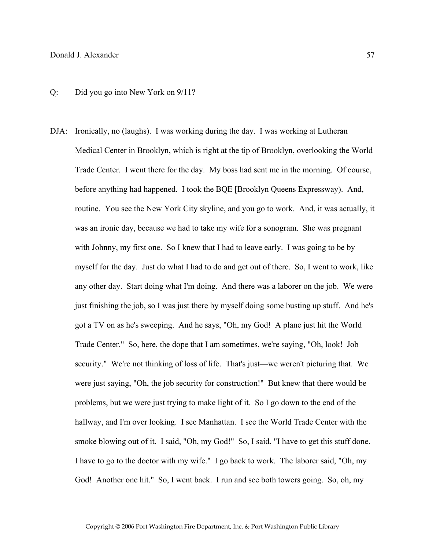DJA: Ironically, no (laughs). I was working during the day. I was working at Lutheran Medical Center in Brooklyn, which is right at the tip of Brooklyn, overlooking the World Trade Center. I went there for the day. My boss had sent me in the morning. Of course, before anything had happened. I took the BQE [Brooklyn Queens Expressway). And, routine. You see the New York City skyline, and you go to work. And, it was actually, it was an ironic day, because we had to take my wife for a sonogram. She was pregnant with Johnny, my first one. So I knew that I had to leave early. I was going to be by myself for the day. Just do what I had to do and get out of there. So, I went to work, like any other day. Start doing what I'm doing. And there was a laborer on the job. We were just finishing the job, so I was just there by myself doing some busting up stuff. And he's got a TV on as he's sweeping. And he says, "Oh, my God! A plane just hit the World Trade Center." So, here, the dope that I am sometimes, we're saying, "Oh, look! Job security." We're not thinking of loss of life. That's just—we weren't picturing that. We were just saying, "Oh, the job security for construction!" But knew that there would be problems, but we were just trying to make light of it. So I go down to the end of the hallway, and I'm over looking. I see Manhattan. I see the World Trade Center with the smoke blowing out of it. I said, "Oh, my God!" So, I said, "I have to get this stuff done. I have to go to the doctor with my wife." I go back to work. The laborer said, "Oh, my God! Another one hit." So, I went back. I run and see both towers going. So, oh, my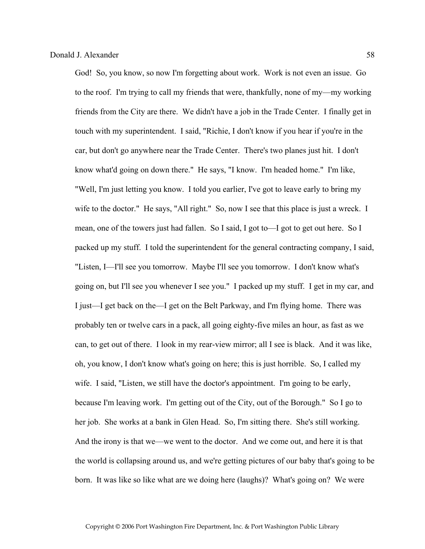God! So, you know, so now I'm forgetting about work. Work is not even an issue. Go to the roof. I'm trying to call my friends that were, thankfully, none of my—my working friends from the City are there. We didn't have a job in the Trade Center. I finally get in touch with my superintendent. I said, "Richie, I don't know if you hear if you're in the car, but don't go anywhere near the Trade Center. There's two planes just hit. I don't know what'd going on down there." He says, "I know. I'm headed home." I'm like, "Well, I'm just letting you know. I told you earlier, I've got to leave early to bring my wife to the doctor." He says, "All right." So, now I see that this place is just a wreck. I mean, one of the towers just had fallen. So I said, I got to—I got to get out here. So I packed up my stuff. I told the superintendent for the general contracting company, I said, "Listen, I—I'll see you tomorrow. Maybe I'll see you tomorrow. I don't know what's going on, but I'll see you whenever I see you." I packed up my stuff. I get in my car, and I just—I get back on the—I get on the Belt Parkway, and I'm flying home. There was probably ten or twelve cars in a pack, all going eighty-five miles an hour, as fast as we can, to get out of there. I look in my rear-view mirror; all I see is black. And it was like, oh, you know, I don't know what's going on here; this is just horrible. So, I called my wife. I said, "Listen, we still have the doctor's appointment. I'm going to be early, because I'm leaving work. I'm getting out of the City, out of the Borough." So I go to her job. She works at a bank in Glen Head. So, I'm sitting there. She's still working. And the irony is that we—we went to the doctor. And we come out, and here it is that the world is collapsing around us, and we're getting pictures of our baby that's going to be born. It was like so like what are we doing here (laughs)? What's going on? We were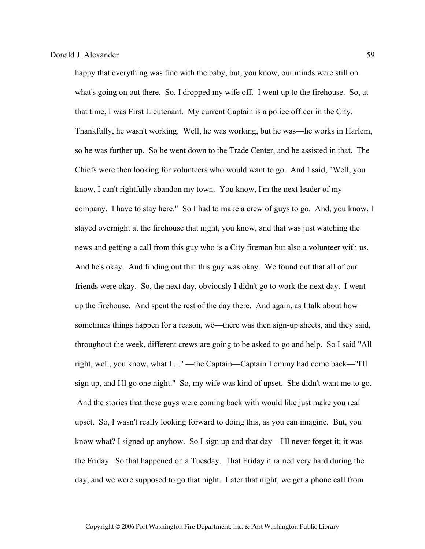happy that everything was fine with the baby, but, you know, our minds were still on what's going on out there. So, I dropped my wife off. I went up to the firehouse. So, at that time, I was First Lieutenant. My current Captain is a police officer in the City. Thankfully, he wasn't working. Well, he was working, but he was—he works in Harlem, so he was further up. So he went down to the Trade Center, and he assisted in that. The Chiefs were then looking for volunteers who would want to go. And I said, "Well, you know, I can't rightfully abandon my town. You know, I'm the next leader of my company. I have to stay here." So I had to make a crew of guys to go. And, you know, I stayed overnight at the firehouse that night, you know, and that was just watching the news and getting a call from this guy who is a City fireman but also a volunteer with us. And he's okay. And finding out that this guy was okay. We found out that all of our friends were okay. So, the next day, obviously I didn't go to work the next day. I went up the firehouse. And spent the rest of the day there. And again, as I talk about how sometimes things happen for a reason, we—there was then sign-up sheets, and they said, throughout the week, different crews are going to be asked to go and help. So I said "All right, well, you know, what I ..." —the Captain—Captain Tommy had come back—"I'll sign up, and I'll go one night." So, my wife was kind of upset. She didn't want me to go. And the stories that these guys were coming back with would like just make you real upset. So, I wasn't really looking forward to doing this, as you can imagine. But, you know what? I signed up anyhow. So I sign up and that day—I'll never forget it; it was the Friday. So that happened on a Tuesday. That Friday it rained very hard during the day, and we were supposed to go that night. Later that night, we get a phone call from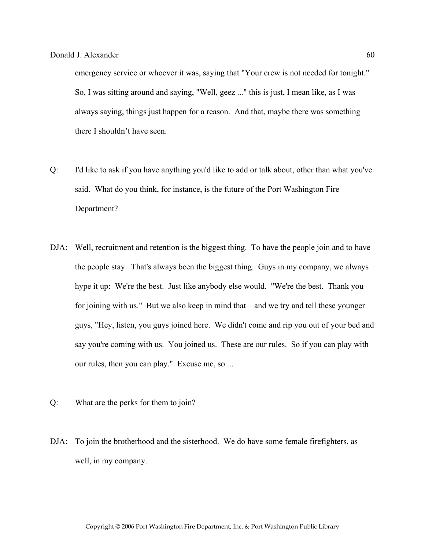emergency service or whoever it was, saying that "Your crew is not needed for tonight." So, I was sitting around and saying, "Well, geez ..." this is just, I mean like, as I was always saying, things just happen for a reason. And that, maybe there was something there I shouldn't have seen.

- Q: I'd like to ask if you have anything you'd like to add or talk about, other than what you've said. What do you think, for instance, is the future of the Port Washington Fire Department?
- DJA: Well, recruitment and retention is the biggest thing. To have the people join and to have the people stay. That's always been the biggest thing. Guys in my company, we always hype it up: We're the best. Just like anybody else would. "We're the best. Thank you for joining with us." But we also keep in mind that—and we try and tell these younger guys, "Hey, listen, you guys joined here. We didn't come and rip you out of your bed and say you're coming with us. You joined us. These are our rules. So if you can play with our rules, then you can play." Excuse me, so ...
- Q: What are the perks for them to join?
- DJA: To join the brotherhood and the sisterhood. We do have some female firefighters, as well, in my company.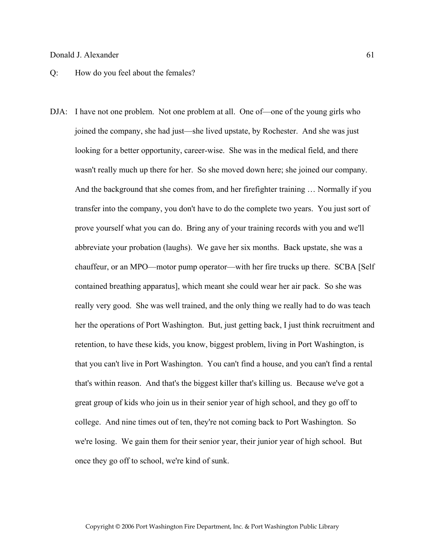- Q: How do you feel about the females?
- DJA: I have not one problem. Not one problem at all. One of—one of the young girls who joined the company, she had just—she lived upstate, by Rochester. And she was just looking for a better opportunity, career-wise. She was in the medical field, and there wasn't really much up there for her. So she moved down here; she joined our company. And the background that she comes from, and her firefighter training … Normally if you transfer into the company, you don't have to do the complete two years. You just sort of prove yourself what you can do. Bring any of your training records with you and we'll abbreviate your probation (laughs). We gave her six months. Back upstate, she was a chauffeur, or an MPO—motor pump operator—with her fire trucks up there. SCBA [Self contained breathing apparatus], which meant she could wear her air pack. So she was really very good. She was well trained, and the only thing we really had to do was teach her the operations of Port Washington. But, just getting back, I just think recruitment and retention, to have these kids, you know, biggest problem, living in Port Washington, is that you can't live in Port Washington. You can't find a house, and you can't find a rental that's within reason. And that's the biggest killer that's killing us. Because we've got a great group of kids who join us in their senior year of high school, and they go off to college. And nine times out of ten, they're not coming back to Port Washington. So we're losing. We gain them for their senior year, their junior year of high school. But once they go off to school, we're kind of sunk.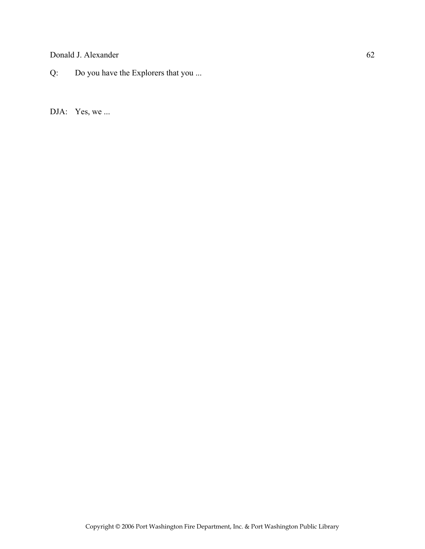Q: Do you have the Explorers that you ...

DJA: Yes, we ...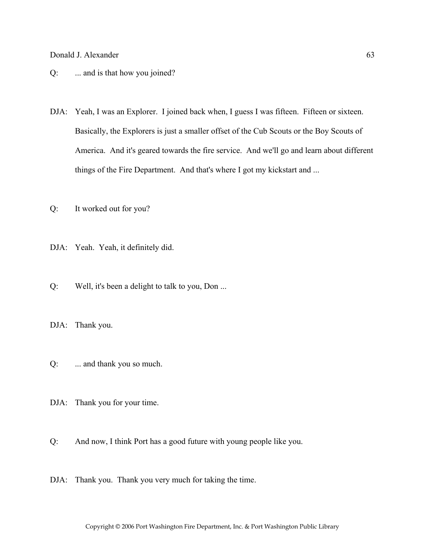# Q: ... and is that how you joined?

DJA: Yeah, I was an Explorer. I joined back when, I guess I was fifteen. Fifteen or sixteen. Basically, the Explorers is just a smaller offset of the Cub Scouts or the Boy Scouts of America. And it's geared towards the fire service. And we'll go and learn about different things of the Fire Department. And that's where I got my kickstart and ...

Q: It worked out for you?

- DJA: Yeah. Yeah, it definitely did.
- Q: Well, it's been a delight to talk to you, Don ...
- DJA: Thank you.
- Q: ... and thank you so much.
- DJA: Thank you for your time.
- Q: And now, I think Port has a good future with young people like you.
- DJA: Thank you. Thank you very much for taking the time.